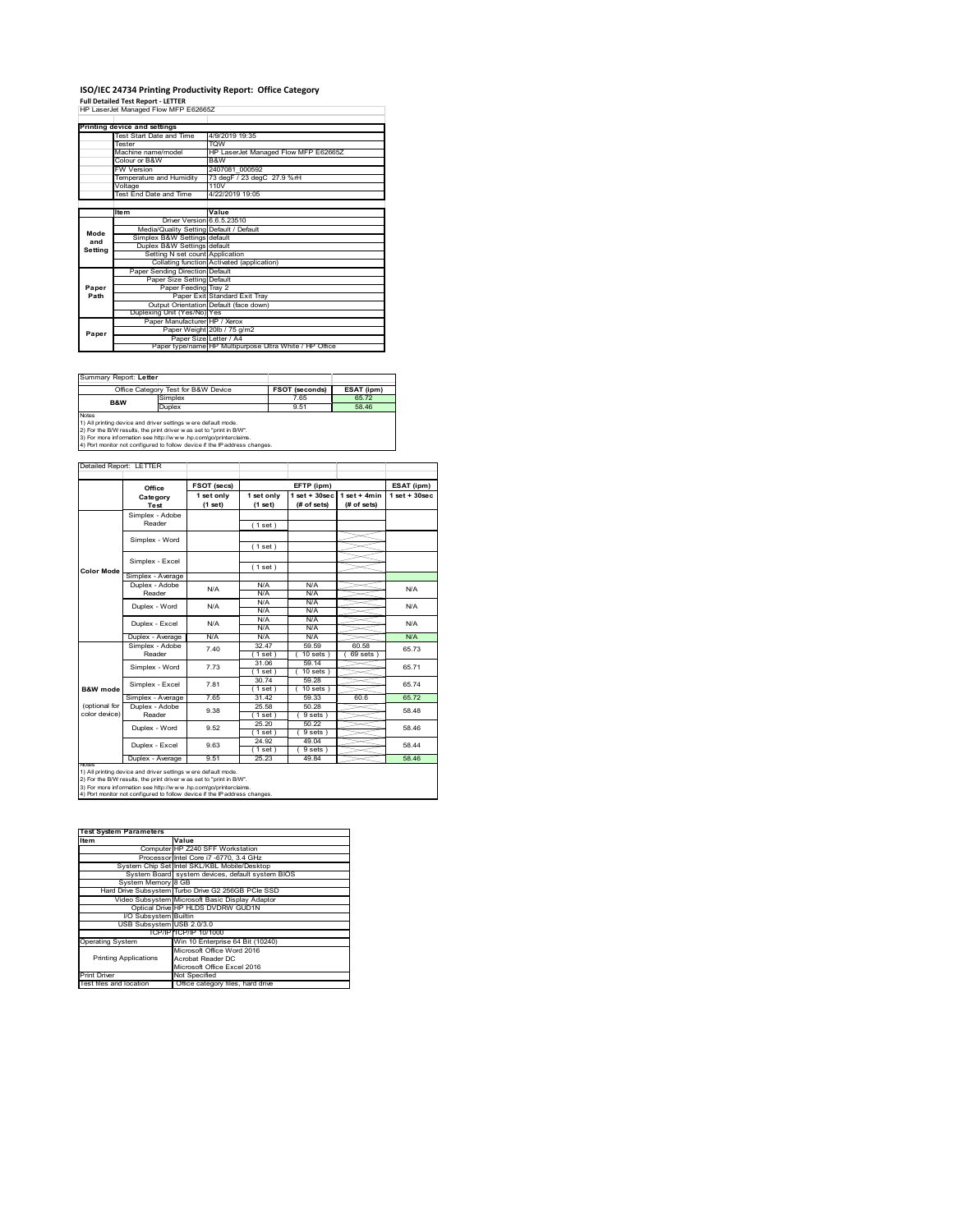## **ISO/IEC 24734 Printing Productivity Report: Office Category**

**Full Detailed Test Report ‐ LETTER** HP LaserJet Managed Flow MFP E62665Z

|         | Printing device and settings            |                                                         |
|---------|-----------------------------------------|---------------------------------------------------------|
|         | Test Start Date and Time                | 4/9/2019 19:35                                          |
|         | <b>Tester</b>                           | <b>TOW</b>                                              |
|         | Machine name/model                      | HP LaserJet Managed Flow MFP E62665Z                    |
|         | Colour or B&W                           | B&W                                                     |
|         | <b>FW Version</b>                       | 2407081 000592                                          |
|         | Temperature and Humidity                | 73 degF / 23 degC 27.9 %rH                              |
|         | Voltage                                 | 110V                                                    |
|         | Test End Date and Time                  | 4/22/2019 19:05                                         |
|         |                                         |                                                         |
|         | Item                                    | Value                                                   |
|         | Driver Version 6.6.5.23510              |                                                         |
| Mode    | Media/Quality Setting Default / Default |                                                         |
| and     | Simplex B&W Settings default            |                                                         |
| Setting | Duplex B&W Settings default             |                                                         |
|         | Setting N set count Application         |                                                         |
|         |                                         | Collating function Activated (application)              |
|         | Paper Sending Direction Default         |                                                         |
|         | Paper Size Setting Default              |                                                         |
| Paper   | Paper Feeding Tray 2                    |                                                         |
| Path    |                                         | Paper Exit Standard Exit Tray                           |
|         |                                         | Output Orientation Default (face down)                  |
|         | Duplexing Unit (Yes/No) Yes             |                                                         |
|         | Paper Manufacturer HP / Xerox           |                                                         |
| Paper   |                                         | Paper Weight 20lb / 75 g/m2                             |
|         | Paper Size Letter / A4                  |                                                         |
|         |                                         | Paper type/name HP Multipurpose Ultra White / HP Office |

| Summary Report: Letter                                                                                                                               |                                     |                       |            |  |
|------------------------------------------------------------------------------------------------------------------------------------------------------|-------------------------------------|-----------------------|------------|--|
|                                                                                                                                                      | Office Category Test for B&W Device | <b>FSOT (seconds)</b> | ESAT (ipm) |  |
| <b>B&amp;W</b>                                                                                                                                       | Simplex                             | 7.65                  | 65.72      |  |
|                                                                                                                                                      | Duplex                              | 9.51                  | 58 46      |  |
| <b>Notes</b><br>1) All printing device and driver settings were default mode.<br>2) For the B/W results, the print driver was set to "print in B/W". |                                     |                       |            |  |
| 3) For more information see http://www.hp.com/go/printerclaims.<br>4) Port monitor not configured to follow device if the IP address changes.        |                                     |                       |            |  |

ailed Report: LETTER **FSOT (secs) ESAT (ipm) EFTP (ipm) Office 1 set + 30sec 1 set only (1 set) 1 set only (1 set) 1 set + 30sec (# of sets) 1 set + 4min (# of sets) Category Test** Simplex - Adobe Reader ( 1 set ) Simplex - Word ( 1 set ) Simplex - Excel ( 1 set ) **Color Mode** Simplex - Average Duplex - Adobe N/A  $N/f$ N/A Reader N/A N/A N/A N/A Duplex - Word N/A N/A N/A N/A<br>N/A N/A<br>N/A N/A Duplex - Excel N/A N/A Puplex - Average N/A N/A N/A N/A N/A N/A N/A N/A<br>
Simplex - Adobe 7.40 32.47 59.59 60.58 65.7<br>
Reader 7.40 1.1 (10.96ts) (69.96ts) 65.7 7.40 65.73 32.47 59.59 60.58  $(10 \text{ sets}) (69 \text{ sets})$ 31.06 59.14 65.71 Simplex - Word 7.73 ( 1 set ) ( 10 sets ) 30.74 59.28 ( 1 set ) ( 10 sets ) Simplex - Excel 7.81 65.74 **B&W** mod Simplex - Average 7.65 31.42 59.33 60.6 65.72<br>
Duplex - Adobe 9.38 25.58 50.28 58.48<br>
Reader 9.38 (1 set) (9 sets) 58.48 (optional for color device) 25.58 50.28<br>(1 set) (9 sets 9.38  $\frac{23.36}{(1 \text{ set})}$   $\frac{30.26}{(9 \text{ sets})}$  58.48 Duplex - Word 9.52 25.20 50.22 58.46  $\frac{(1 \text{ set})}{24.92}$ <br> $\frac{(1 \text{ set})}{25.23}$  $(9 \text{ sets})$ <br> $49.04$ ∖⊯ 9.63 58.44 Duplex - Excel  $(9$  set<br> $49.84$ Duplex - Average 9.51 25.23 49.84 58.46 notes<br>1) All printing device and driver settings were default mode.<br>2) For the B/W results, the print driver was set to "print in B/W".<br>3) For more information see http://www.hp.com/go/printerclaims.<br>4) Por moralitor not c

| <b>Test System Parameters</b> |                                                    |  |
|-------------------------------|----------------------------------------------------|--|
| Item                          | Value                                              |  |
|                               | Computer HP Z240 SFF Workstation                   |  |
|                               | Processor Intel Core i7 -6770, 3.4 GHz             |  |
|                               | System Chip Set Intel SKL/KBL Mobile/Desktop       |  |
|                               | System Board system devices, default system BIOS   |  |
| System Memory 8 GB            |                                                    |  |
|                               | Hard Drive Subsystem Turbo Drive G2 256GB PCle SSD |  |
|                               | Video Subsystem Microsoft Basic Display Adaptor    |  |
|                               | Optical Drive HP HLDS DVDRW GUD1N                  |  |
| I/O Subsystem Builtin         |                                                    |  |
| USB Subsystem USB 2.0/3.0     |                                                    |  |
|                               | TCP/IP TCP/IP 10/1000                              |  |
| <b>Operating System</b>       | Win 10 Enterprise 64 Bit (10240)                   |  |
|                               | Microsoft Office Word 2016                         |  |
| <b>Printing Applications</b>  | Acrobat Reader DC                                  |  |
|                               | Microsoft Office Excel 2016                        |  |
| <b>Print Driver</b>           | Not Specified                                      |  |
| Test files and location       | Office category files, hard drive                  |  |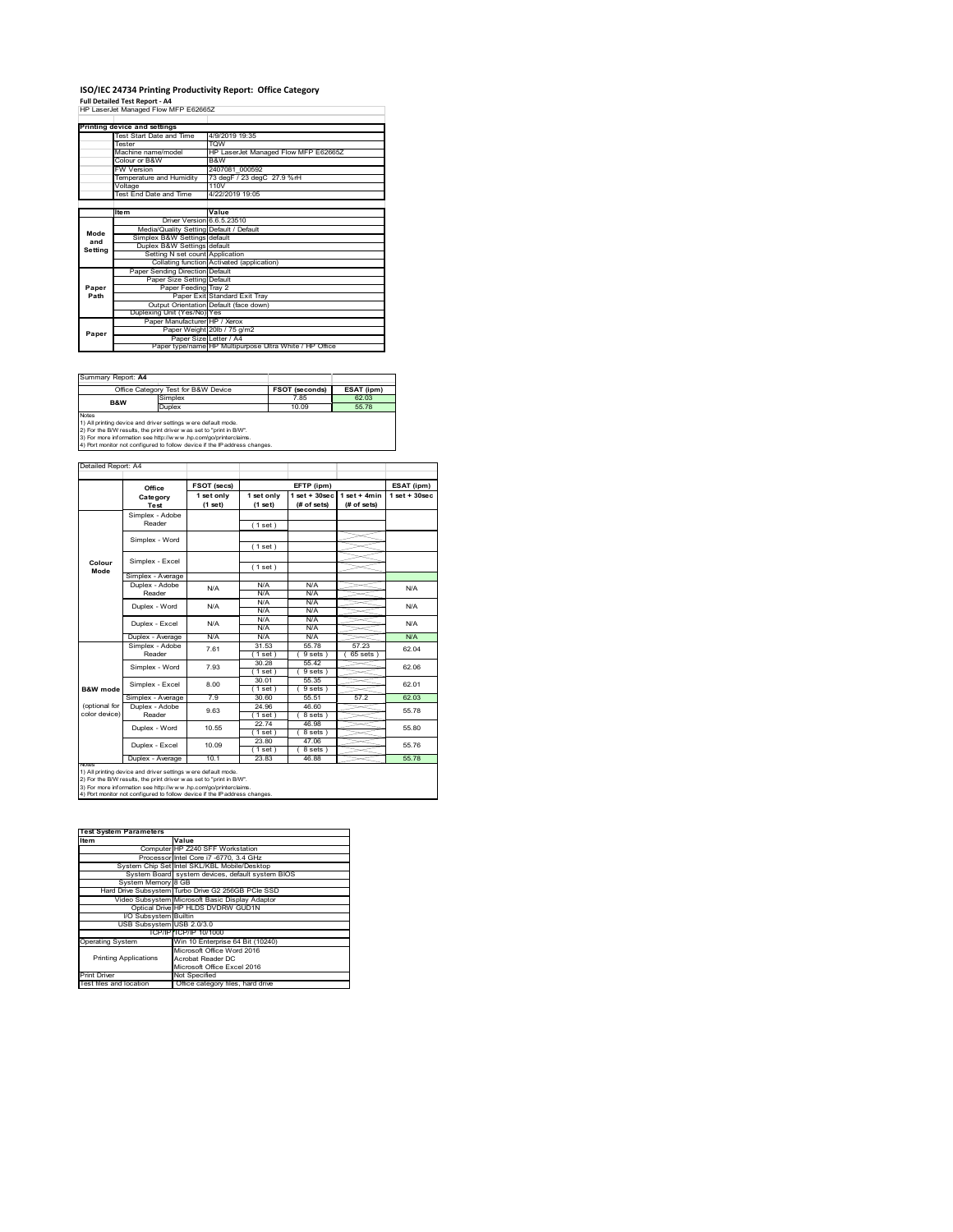## **ISO/IEC 24734 Printing Productivity Report: Office Category**

**Full Detailed Test Report ‐ A4** HP LaserJet Managed Flow MFP E62665Z

|         | Printing device and settings            |                                                         |
|---------|-----------------------------------------|---------------------------------------------------------|
|         | Test Start Date and Time                | 4/9/2019 19:35                                          |
|         | <b>Tester</b>                           | <b>TOW</b>                                              |
|         | Machine name/model                      | HP LaserJet Managed Flow MFP E62665Z                    |
|         | Colour or B&W                           | B&W                                                     |
|         | <b>FW Version</b>                       | 2407081 000592                                          |
|         | Temperature and Humidity                | 73 degF / 23 degC 27.9 %rH                              |
|         | Voltage                                 | 110V                                                    |
|         | <b>Test End Date and Time</b>           | 4/22/2019 19:05                                         |
|         |                                         |                                                         |
|         | Item                                    | Value                                                   |
|         | Driver Version 6.6.5.23510              |                                                         |
| Mode    | Media/Quality Setting Default / Default |                                                         |
| and     | Simplex B&W Settings default            |                                                         |
| Settina | Duplex B&W Settings default             |                                                         |
|         | Setting N set count Application         |                                                         |
|         |                                         | Collating function Activated (application)              |
|         | Paper Sending Direction Default         |                                                         |
|         | Paper Size Setting Default              |                                                         |
| Paper   | Paper Feeding Tray 2                    |                                                         |
| Path    |                                         | Paper Exit Standard Exit Tray                           |
|         |                                         | Output Orientation Default (face down)                  |
|         | Duplexing Unit (Yes/No) Yes             |                                                         |
|         | Paper Manufacturer HP / Xerox           |                                                         |
| Paper   |                                         | Paper Weight 20lb / 75 g/m2                             |
|         | Paper Size Letter / A4                  |                                                         |
|         |                                         | Paper type/name HP Multipurpose Ultra White / HP Office |

| Summary Report: A4 |                                                                                                                                                                                                                                                                                       |                       |            |
|--------------------|---------------------------------------------------------------------------------------------------------------------------------------------------------------------------------------------------------------------------------------------------------------------------------------|-----------------------|------------|
|                    | Office Category Test for B&W Device                                                                                                                                                                                                                                                   | <b>FSOT (seconds)</b> | ESAT (ipm) |
| <b>B&amp;W</b>     | Simplex                                                                                                                                                                                                                                                                               | 7.85                  | 62.03      |
|                    | Duplex                                                                                                                                                                                                                                                                                | 10.09                 | 5578       |
| <b>Notes</b>       | 1) All printing device and driver settings were default mode.<br>2) For the B/W results, the print driver was set to "print in B/W".<br>3) For more information see http://www.hp.com/go/printerclaims.<br>4) Port monitor not configured to follow device if the IP address changes. |                       |            |

ailed Report: A4 **FSOT (secs) ESAT (ipm) EFTP (ipm) Office 1 set + 30sec 1 set only (1 set) 1 set only (1 set) 1 set + 30sec (# of sets) 1 set + 4min (# of sets) Category Test** Simplex - Adobe Reader ( 1 set ) Simplex - Word ( 1 set ) Simplex - Excel ( 1 set ) **Colour Mode** Simplex - Average Duplex - Adobe  $N/f$  $N/A$   $N/A$   $N/A$   $N/A$   $N/A$ Reader N/A N/A N/A N/A N/A Duplex - Word N/A N/A N/A N/A N/A Duplex - Excel N/A N/A N/A N/.<br>N/A N/. Puplex - Average N/A N/A N/A N/A N/A N/A N/A<br>  $\overline{S}$  Simplex - Adobe 7.61 31.53 55.78 57.23 62.0<br>
Reader 7.61 1.1 58t) 9.9sts 65.8sts 62.0 7.61 62.04 31.53 55.78 57.23  $(9 \text{ sets}) (65 \text{ sets})$ Simplex - Word 7.93 30.28 55.42 62.06 ( 1 set ) ( 9 sets ) 30.01 55.35 Simplex - Excel 8.00 62.01 **B&W** mod ( 1 set ) ( 9 sets<br>
30.60 55.51 Simplex - Average 7.9 30.60 55.51 57.2 62.03<br>
Duplex - Adobe 9.63 2.4.96 46.60 55.78<br>
Reader 9.63 (1 set ) (8 sets) 55.78 (optional for color device) 9.63 55.78 24.96 46.60 ( 1 set ) ( 8 sets ) 22.74 46.98 Duplex - Word 10.55 55.80  $(1 \text{ set})$ <br> $(23.80)$ <br> $(1 \text{ set})$ <br> $(23.83)$  $(8 \text{ sets})$ <br> $47.06$ ₹ Duplex - Excel 10.09 55.76  $( 8 \text{ set} 46.88$ Duplex - Average | 10.1 | 23.83 | 46.88 | <u>2005 | 55.78</u> notes<br>1) All printing device and driver settings were default mode.<br>2) For the B/W results, the print driver was set to "print in B/W".<br>3) For more information see http://www.hp.com/go/printerclaims.<br>4) Por moralitor not c

| <b>Test System Parameters</b> |                                                    |  |  |  |
|-------------------------------|----------------------------------------------------|--|--|--|
| Item                          | Value                                              |  |  |  |
|                               | Computer HP Z240 SFF Workstation                   |  |  |  |
|                               | Processor Intel Core i7 -6770, 3.4 GHz             |  |  |  |
|                               | System Chip Set Intel SKL/KBL Mobile/Desktop       |  |  |  |
|                               | System Board system devices, default system BIOS   |  |  |  |
| System Memory 8 GB            |                                                    |  |  |  |
|                               | Hard Drive Subsystem Turbo Drive G2 256GB PCIe SSD |  |  |  |
|                               | Video Subsystem Microsoft Basic Display Adaptor    |  |  |  |
|                               | Optical Drive HP HLDS DVDRW GUD1N                  |  |  |  |
| I/O Subsystem Builtin         |                                                    |  |  |  |
| USB Subsystem USB 2.0/3.0     |                                                    |  |  |  |
|                               | TCP/IP TCP/IP 10/1000                              |  |  |  |
| <b>Operating System</b>       | Win 10 Enterprise 64 Bit (10240)                   |  |  |  |
|                               | Microsoft Office Word 2016                         |  |  |  |
| <b>Printing Applications</b>  | Acrobat Reader DC                                  |  |  |  |
|                               | Microsoft Office Excel 2016                        |  |  |  |
| <b>Print Driver</b>           | Not Specified                                      |  |  |  |
| Test files and location       | Office category files, hard drive                  |  |  |  |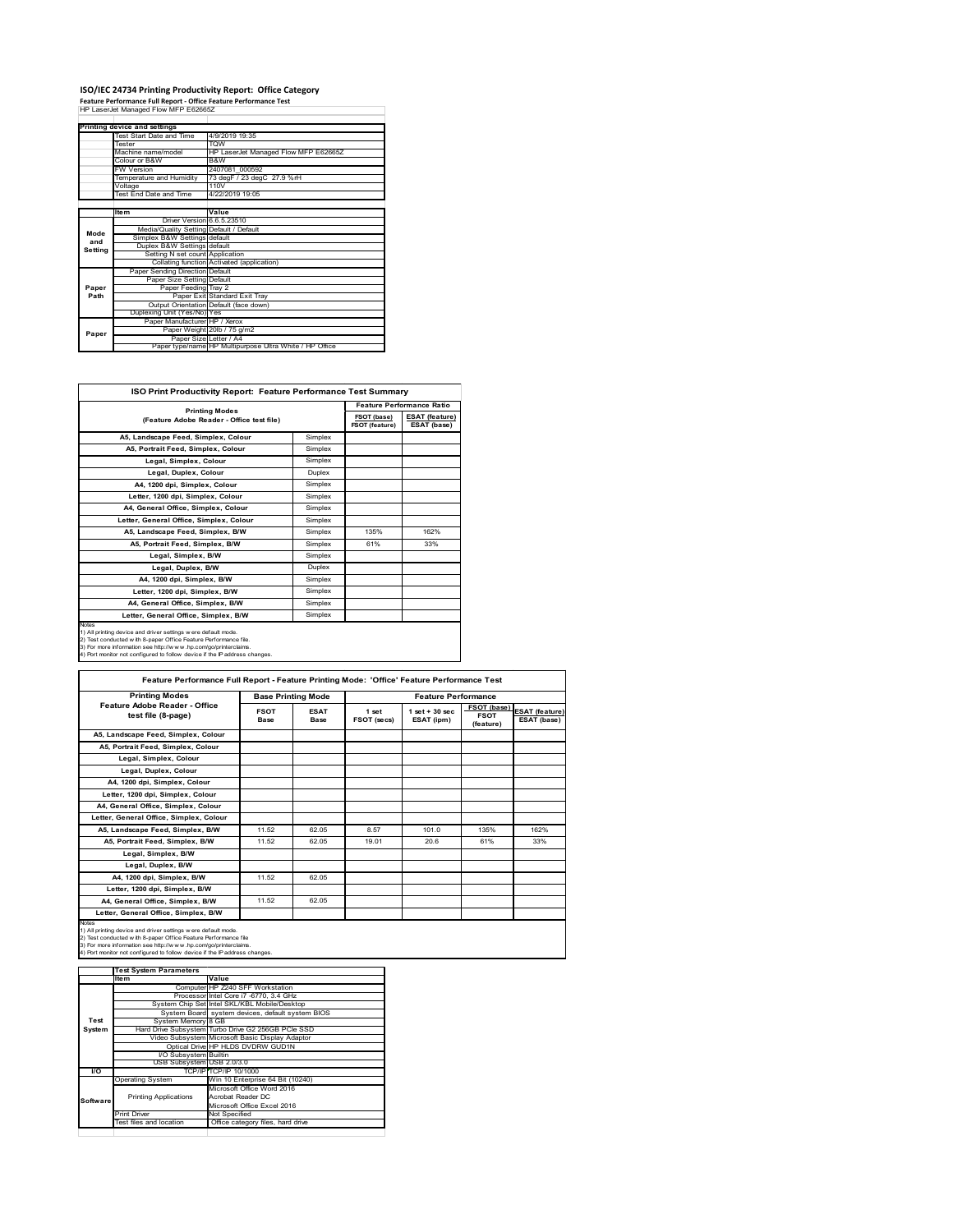# **ISO/IEC 24734 Printing Productivity Report: Office Category Feature Performance Full Report ‐ Office Feature Performance Test** HP LaserJet Managed Flow MFP E62665Z

|         | Printing device and settings            |                                                         |
|---------|-----------------------------------------|---------------------------------------------------------|
|         | Test Start Date and Time                | 4/9/2019 19:35                                          |
|         | <b>Tester</b>                           | TOW                                                     |
|         | Machine name/model                      | HP LaserJet Managed Flow MFP E62665Z                    |
|         | Colour or B&W                           | B&W                                                     |
|         | <b>FW Version</b>                       | 2407081 000592                                          |
|         | Temperature and Humidity                | 73 degF / 23 degC 27.9 %rH                              |
|         | Voltage                                 | 110V                                                    |
|         | <b>Test End Date and Time</b>           | 4/22/2019 19:05                                         |
|         |                                         |                                                         |
|         | <b>Item</b>                             | Value                                                   |
|         | Driver Version 6.6.5.23510              |                                                         |
| Mode    | Media/Quality Setting Default / Default |                                                         |
| and     | Simplex B&W Settings default            |                                                         |
| Setting | Duplex B&W Settings default             |                                                         |
|         | Setting N set count Application         |                                                         |
|         |                                         | Collating function Activated (application)              |
|         | Paper Sending Direction Default         |                                                         |
|         | Paper Size Setting Default              |                                                         |
| Paper   | Paper Feeding Tray 2                    |                                                         |
| Path    |                                         | Paper Exit Standard Exit Tray                           |
|         |                                         | Output Orientation Default (face down)                  |
|         | Duplexing Unit (Yes/No) Yes             |                                                         |
| Paper   | Paper Manufacturer HP / Xerox           |                                                         |
|         |                                         | Paper Weight 20lb / 75 g/m2                             |
|         | Paper Size Letter / A4                  |                                                         |
|         |                                         | Paper type/name HP Multipurpose Ultra White / HP Office |

٦

| <b>ISO Print Productivity Report: Feature Performance Test Summary</b>                                                                                                                                                                                                                            |                                  |      |                                      |  |
|---------------------------------------------------------------------------------------------------------------------------------------------------------------------------------------------------------------------------------------------------------------------------------------------------|----------------------------------|------|--------------------------------------|--|
|                                                                                                                                                                                                                                                                                                   | <b>Feature Performance Ratio</b> |      |                                      |  |
| (Feature Adobe Reader - Office test file)                                                                                                                                                                                                                                                         | <b>Printing Modes</b>            |      | <b>ESAT (feature)</b><br>ESAT (base) |  |
| A5, Landscape Feed, Simplex, Colour                                                                                                                                                                                                                                                               | Simplex                          |      |                                      |  |
| A5. Portrait Feed. Simplex. Colour                                                                                                                                                                                                                                                                | Simplex                          |      |                                      |  |
| Legal, Simplex, Colour                                                                                                                                                                                                                                                                            | Simplex                          |      |                                      |  |
| Legal, Duplex, Colour                                                                                                                                                                                                                                                                             | Duplex                           |      |                                      |  |
| A4, 1200 dpi, Simplex, Colour                                                                                                                                                                                                                                                                     | Simplex                          |      |                                      |  |
| Letter, 1200 dpi, Simplex, Colour                                                                                                                                                                                                                                                                 | Simplex                          |      |                                      |  |
| A4. General Office. Simplex. Colour                                                                                                                                                                                                                                                               | Simplex                          |      |                                      |  |
| Letter, General Office, Simplex, Colour                                                                                                                                                                                                                                                           | Simplex                          |      |                                      |  |
| A5, Landscape Feed, Simplex, B/W                                                                                                                                                                                                                                                                  | Simplex                          | 135% | 162%                                 |  |
| A5, Portrait Feed, Simplex, B/W                                                                                                                                                                                                                                                                   | Simplex                          | 61%  | 33%                                  |  |
| Legal, Simplex, B/W                                                                                                                                                                                                                                                                               | Simplex                          |      |                                      |  |
| Legal, Duplex, B/W                                                                                                                                                                                                                                                                                | Duplex                           |      |                                      |  |
| A4, 1200 dpi, Simplex, B/W                                                                                                                                                                                                                                                                        | Simplex                          |      |                                      |  |
| Letter, 1200 dpi. Simplex, B/W                                                                                                                                                                                                                                                                    | Simplex                          |      |                                      |  |
| A4, General Office, Simplex, B/W                                                                                                                                                                                                                                                                  | Simplex                          |      |                                      |  |
| Letter, General Office, Simplex, B/W                                                                                                                                                                                                                                                              | Simplex                          |      |                                      |  |
| <b>Notes</b><br>1) All printing device and driver settings were default mode.<br>2) Test conducted with 8-paper Office Feature Performance file.<br>3) For more information see http://www.hp.com/go/printerclaims.<br>4) Port monitor not configured to follow device if the IP address changes. |                                  |      |                                      |  |

| <b>Printing Modes</b>                               | <b>Base Printing Mode</b> |                            |                      | <b>Feature Performance</b>      |                                         |                                      |
|-----------------------------------------------------|---------------------------|----------------------------|----------------------|---------------------------------|-----------------------------------------|--------------------------------------|
| Feature Adobe Reader - Office<br>test file (8-page) | <b>FSOT</b><br>Base       | <b>ESAT</b><br><b>Base</b> | 1 set<br>FSOT (secs) | $1$ set $+30$ sec<br>ESAT (ipm) | FSOT (base)<br><b>FSOT</b><br>(feature) | <b>ESAT</b> (feature)<br>ESAT (base) |
| A5, Landscape Feed, Simplex, Colour                 |                           |                            |                      |                                 |                                         |                                      |
| A5, Portrait Feed, Simplex, Colour                  |                           |                            |                      |                                 |                                         |                                      |
| Legal, Simplex, Colour                              |                           |                            |                      |                                 |                                         |                                      |
| Legal, Duplex, Colour                               |                           |                            |                      |                                 |                                         |                                      |
| A4. 1200 dpi. Simplex. Colour                       |                           |                            |                      |                                 |                                         |                                      |
| Letter, 1200 dpi, Simplex, Colour                   |                           |                            |                      |                                 |                                         |                                      |
| A4, General Office, Simplex, Colour                 |                           |                            |                      |                                 |                                         |                                      |
| Letter, General Office, Simplex, Colour             |                           |                            |                      |                                 |                                         |                                      |
| A5, Landscape Feed, Simplex, B/W                    | 11.52                     | 62 05                      | 8.57                 | 1010                            | 135%                                    | 162%                                 |
| A5, Portrait Feed, Simplex, B/W                     | 11.52                     | 62.05                      | 19 01                | 20.6                            | 61%                                     | 33%                                  |
| Legal, Simplex, B/W                                 |                           |                            |                      |                                 |                                         |                                      |
| Legal, Duplex, B/W                                  |                           |                            |                      |                                 |                                         |                                      |
| A4. 1200 dpi. Simplex. B/W                          | 11.52                     | 62.05                      |                      |                                 |                                         |                                      |
| Letter, 1200 dpi, Simplex, B/W                      |                           |                            |                      |                                 |                                         |                                      |
| A4. General Office. Simplex. B/W                    | 11.52                     | 62.05                      |                      |                                 |                                         |                                      |
| Letter, General Office, Simplex, B/W                |                           |                            |                      |                                 |                                         |                                      |

1) All printing device and driver settings were default mode.<br>2) Test conducted with 8-paper Office Feature Performance file<br>3) For more information see http://www.hp.com/go/printerclaims.<br>4) Port monitor not configured to

|            | <b>Test System Parameters</b> |                                                    |
|------------|-------------------------------|----------------------------------------------------|
|            | Item                          | Value                                              |
|            |                               | Computer HP Z240 SFF Workstation                   |
|            |                               | Processor Intel Core i7 -6770, 3.4 GHz             |
|            |                               | System Chip Set Intel SKL/KBL Mobile/Desktop       |
|            |                               | System Board system devices, default system BIOS   |
| Test       | System Memory 8 GB            |                                                    |
| System     |                               | Hard Drive Subsystem Turbo Drive G2 256GB PCle SSD |
|            |                               | Video Subsystem Microsoft Basic Display Adaptor    |
|            |                               | Optical Drive HP HLDS DVDRW GUD1N                  |
|            | I/O Subsystem Builtin         |                                                    |
|            | USB Subsystem USB 2.0/3.0     |                                                    |
| <b>I/O</b> |                               | TCP/IP/TCP/IP 10/1000                              |
|            | <b>Operating System</b>       | Win 10 Enterprise 64 Bit (10240)                   |
|            |                               | Microsoft Office Word 2016                         |
| Software   | <b>Printing Applications</b>  | Acrobat Reader DC                                  |
|            |                               | Microsoft Office Excel 2016                        |
|            | <b>Print Driver</b>           | Not Specified                                      |
|            | Test files and location       | Office category files, hard drive                  |
|            |                               |                                                    |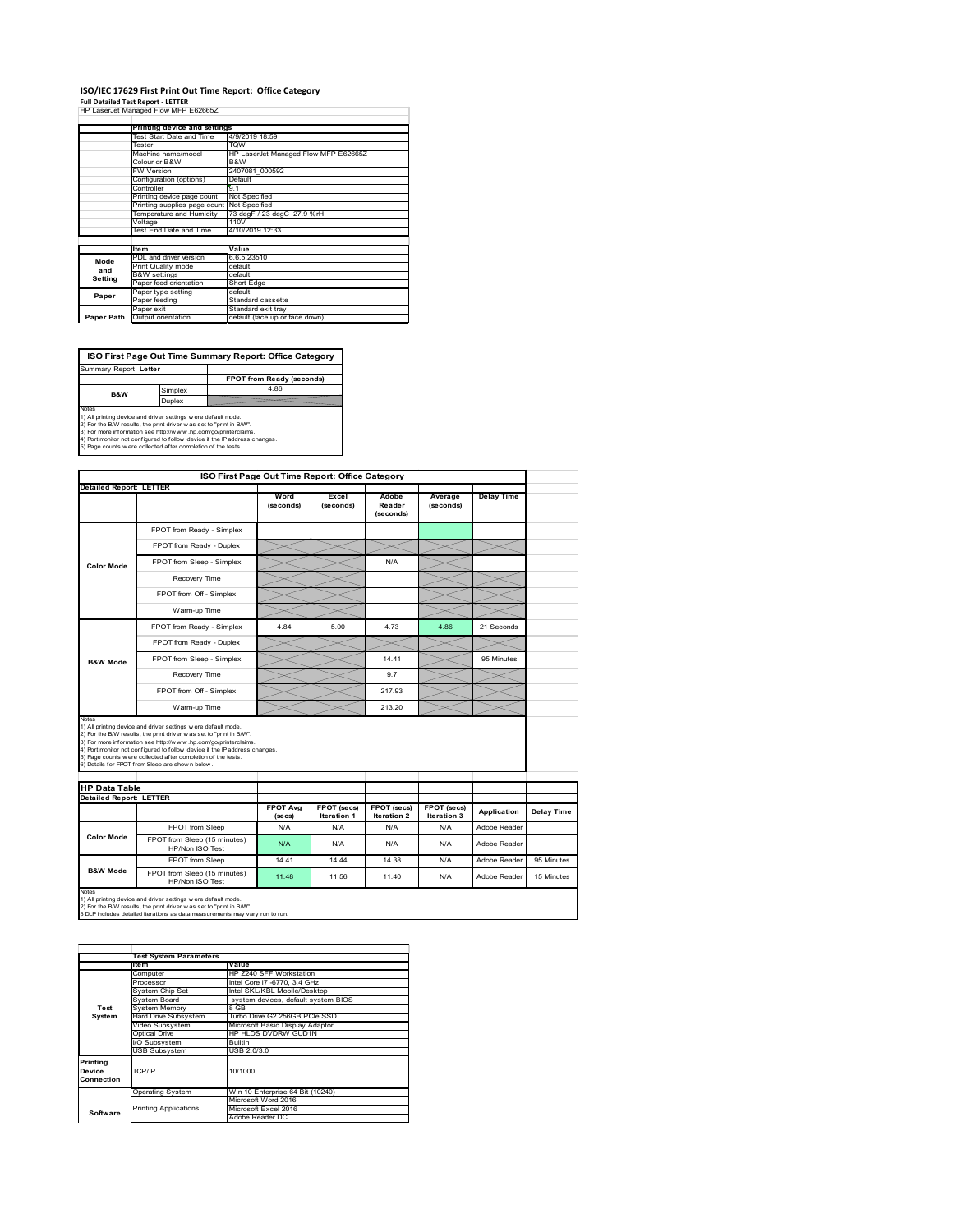# **ISO/IEC 17629 First Print Out Time Report: Office Category**

| <b>Full Detailed Test Report - LETTER</b> |  |  |  |
|-------------------------------------------|--|--|--|
| HP LaserJet Managed Flow MFP E62665Z      |  |  |  |

|            | Printing device and settings               |                                      |  |
|------------|--------------------------------------------|--------------------------------------|--|
|            | Test Start Date and Time                   | 4/9/2019 18:59                       |  |
|            | Tester                                     | <b>TOW</b>                           |  |
|            | Machine name/model                         | HP LaserJet Managed Flow MFP E62665Z |  |
|            | Colour or B&W                              | B&W                                  |  |
|            | FW Version                                 | 2407081 000592                       |  |
|            | Configuration (options)                    | Default                              |  |
|            | Controller                                 | 9.1                                  |  |
|            | Printing device page count                 | Not Specified                        |  |
|            | Printing supplies page count Not Specified |                                      |  |
|            | Temperature and Humidity                   | 73 degF / 23 degC 27.9 %rH           |  |
|            | Voltage                                    | 110V                                 |  |
|            | Test End Date and Time                     | 4/10/2019 12:33                      |  |
|            |                                            |                                      |  |
|            | <b>Item</b>                                | Value                                |  |
| Mode       | PDL and driver version                     | 6.6.5.23510                          |  |
| and        | Print Quality mode                         | default                              |  |
|            | <b>B&amp;W</b> settings                    | default                              |  |
| Setting    | Paper feed orientation                     | Short Edge                           |  |
| Paper      | Paper type setting                         | default                              |  |
|            | Paper feeding                              | Standard cassette                    |  |
|            | Paper exit                                 | Standard exit tray                   |  |
| Paper Path | Output orientation                         | default (face up or face down)       |  |

**FPOT from Ready (seconds)**<br>
Simplex 4.86 **ISO First Page Out Time Summary Report: Office Category** rt: **Letter B&W**

**Duplex**<br>Notes<br>1) All printing device and driver settings were default mode.<br>2) For the BM results, the print driver was set to "print in BM".<br>4) For more information see http://www.hp.com/golprinterclaims.<br>4) Port monitor

| <b>Detailed Report: LETTER</b> |                                                                                                                                                                                                                                                                                                                                                                                                             | Word            | Excel              | Adobe               | Average     | <b>Delay Time</b> |            |
|--------------------------------|-------------------------------------------------------------------------------------------------------------------------------------------------------------------------------------------------------------------------------------------------------------------------------------------------------------------------------------------------------------------------------------------------------------|-----------------|--------------------|---------------------|-------------|-------------------|------------|
|                                |                                                                                                                                                                                                                                                                                                                                                                                                             | (seconds)       | (seconds)          | Reader<br>(seconds) | (seconds)   |                   |            |
|                                | FPOT from Ready - Simplex                                                                                                                                                                                                                                                                                                                                                                                   |                 |                    |                     |             |                   |            |
|                                | FPOT from Ready - Duplex                                                                                                                                                                                                                                                                                                                                                                                    |                 |                    |                     |             |                   |            |
| <b>Color Mode</b>              | FPOT from Sleep - Simplex                                                                                                                                                                                                                                                                                                                                                                                   |                 |                    | N/A                 |             |                   |            |
|                                | Recovery Time                                                                                                                                                                                                                                                                                                                                                                                               |                 |                    |                     |             |                   |            |
|                                | FPOT from Off - Simplex                                                                                                                                                                                                                                                                                                                                                                                     |                 |                    |                     |             |                   |            |
|                                | Warm-up Time                                                                                                                                                                                                                                                                                                                                                                                                |                 |                    |                     |             |                   |            |
|                                | FPOT from Ready - Simplex                                                                                                                                                                                                                                                                                                                                                                                   | 484             | 5.00               | 4 73                | 4.86        | 21 Seconds        |            |
|                                | FPOT from Ready - Duplex                                                                                                                                                                                                                                                                                                                                                                                    |                 |                    |                     |             |                   |            |
| <b>B&amp;W Mode</b>            | FPOT from Sleep - Simplex                                                                                                                                                                                                                                                                                                                                                                                   |                 |                    | 14 41               |             | 95 Minutes        |            |
|                                | Recovery Time                                                                                                                                                                                                                                                                                                                                                                                               |                 |                    | 97                  |             |                   |            |
|                                | FPOT from Off - Simplex                                                                                                                                                                                                                                                                                                                                                                                     |                 |                    | 217 93              |             |                   |            |
|                                | Warm-up Time                                                                                                                                                                                                                                                                                                                                                                                                |                 |                    | 213.20              |             |                   |            |
| <b>HP Data Table</b>           | 1) All printing device and driver settings w ere default mode.<br>2) For the B/W results, the print driver was set to "print in B/W".<br>3) For more information see http://www.hp.com/go/printerclaims.<br>4) Port monitor not configured to follow device if the IP address changes.<br>5) Page counts w ere collected after completion of the tests.<br>6) Details for FPOT from Sleep are show n below. |                 |                    |                     |             |                   |            |
| <b>Detailed Report: LETTER</b> |                                                                                                                                                                                                                                                                                                                                                                                                             | <b>FPOT Avg</b> | FPOT (secs)        | FPOT (secs)         | FPOT (secs) |                   |            |
|                                |                                                                                                                                                                                                                                                                                                                                                                                                             | (se cs)         | <b>Iteration 1</b> | <b>Iteration 2</b>  | Iteration 3 | Application       | Delay Time |
|                                | FPOT from Sleep                                                                                                                                                                                                                                                                                                                                                                                             | N/A             | N/A                | N/A                 | N/A         | Adobe Reader      |            |
| <b>Color Mode</b>              | FPOT from Sleep (15 minutes)<br>HP/Non ISO Test                                                                                                                                                                                                                                                                                                                                                             | N/A             | N/A                | N/A                 | N/A         | Adobe Reader      |            |
|                                | FPOT from Sleep                                                                                                                                                                                                                                                                                                                                                                                             | 14.41           | 14.44              | 14.38               | N/A         | Adobe Reader      | 95 Minutes |
| <b>B&amp;W Mode</b>            | FPOT from Sleep (15 minutes)<br>HP/Non ISO Test                                                                                                                                                                                                                                                                                                                                                             | 11 48           | 11.56              | 11 40               | N/A         | Adobe Reader      | 15 Minutes |

1) All printing device and driver settings w ere default mode.<br>2) For the B/W results, the print driver w as set to "print in B/W".<br>3 DLP includes detailed iterations as data measurements may vary run to run.

|                                  | <b>Test System Parameters</b> |                                     |
|----------------------------------|-------------------------------|-------------------------------------|
|                                  | <b>Item</b>                   | Value                               |
|                                  | Computer                      | HP Z240 SFF Workstation             |
|                                  | Processor                     | Intel Core i7 -6770, 3.4 GHz        |
|                                  | System Chip Set               | Intel SKL/KBL Mobile/Desktop        |
|                                  | System Board                  | system devices, default system BIOS |
| Test                             | <b>System Memory</b>          | 8 GB                                |
| System                           | Hard Drive Subsystem          | Turbo Drive G2 256GB PCle SSD       |
|                                  | Video Subsystem               | Microsoft Basic Display Adaptor     |
|                                  | Optical Drive                 | HP HLDS DVDRW GUD1N                 |
|                                  | I/O Subsystem                 | <b>Builtin</b>                      |
|                                  | <b>USB Subsystem</b>          | USB 2.0/3.0                         |
| Printing<br>Device<br>Connection | TCP/IP                        | 10/1000                             |
|                                  | <b>Operating System</b>       | Win 10 Enterprise 64 Bit (10240)    |
|                                  |                               | Microsoft Word 2016                 |
| Software                         | <b>Printing Applications</b>  | Microsoft Excel 2016                |
|                                  |                               | Adobe Reader DC                     |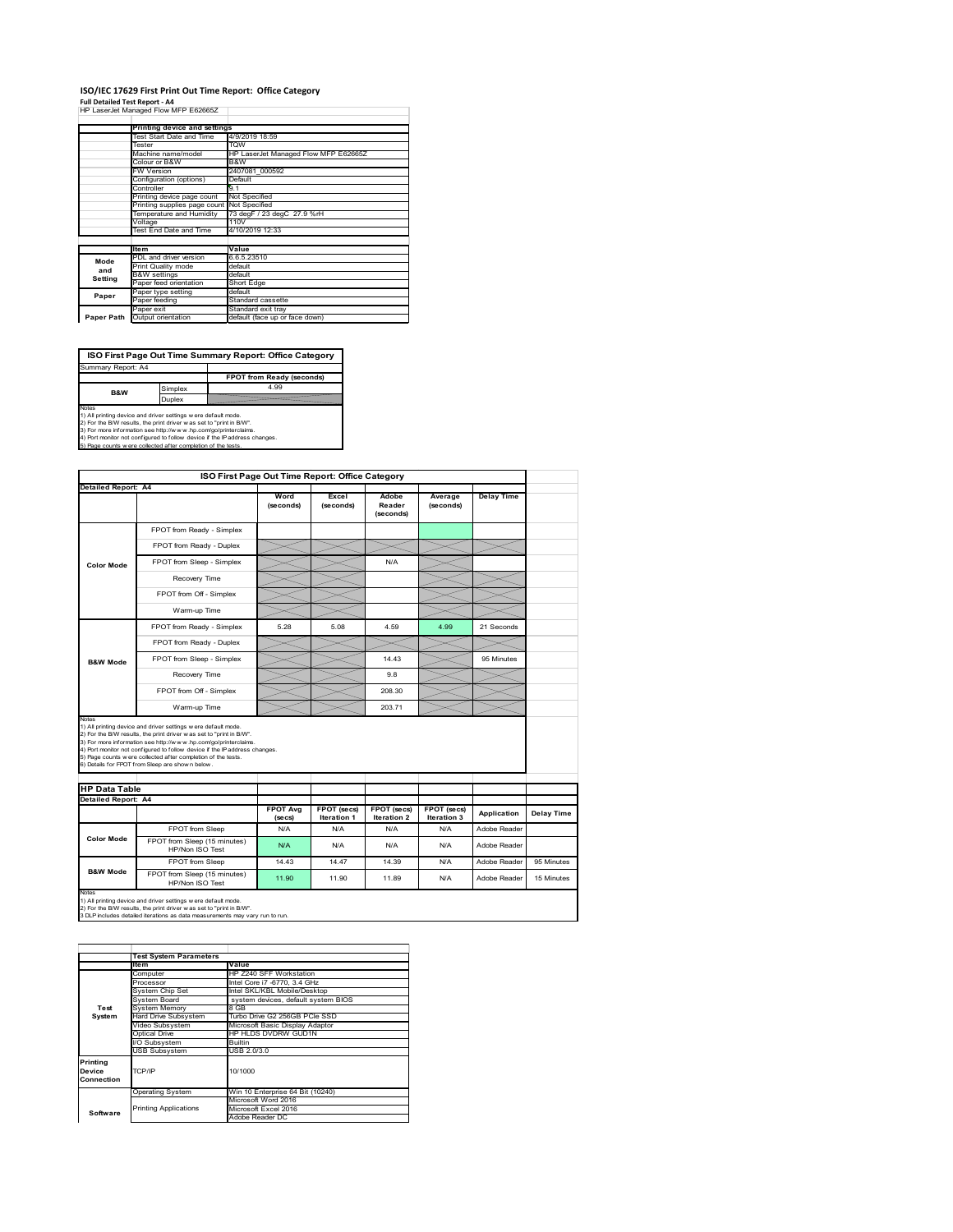## **ISO/IEC 17629 First Print Out Time Report: Office Category**

**Full Detailed Test Report ‐ A4** HP LaserJet Managed Flow MFP E62665Z

|            | Printing device and settings               |                                      |
|------------|--------------------------------------------|--------------------------------------|
|            | Test Start Date and Time                   | 4/9/2019 18:59                       |
|            | Tester                                     | <b>TOW</b>                           |
|            | Machine name/model                         | HP LaserJet Managed Flow MFP E62665Z |
|            | Colour or B&W                              | B&W                                  |
|            | <b>FW Version</b>                          | 2407081 000592                       |
|            | Configuration (options)                    | Default                              |
|            | Controller                                 | 9.1                                  |
|            | Printing device page count                 | Not Specified                        |
|            | Printing supplies page count Not Specified |                                      |
|            | Temperature and Humidity                   | 73 degF / 23 degC 27.9 %rH           |
|            | Voltage                                    | 110V                                 |
|            | Test End Date and Time                     | 4/10/2019 12:33                      |
|            |                                            |                                      |
|            | <b>Item</b>                                | Value                                |
| Mode       | PDL and driver version                     | 6.6.5.23510                          |
| and        | Print Quality mode                         | default                              |
| Setting    | <b>B&amp;W</b> settings                    | default                              |
|            | Paper feed orientation                     | Short Edge                           |
| Paper      | Paper type setting                         | default                              |
|            | Paper feeding                              | Standard cassette                    |
|            | Paper exit                                 | Standard exit trav                   |
| Paper Path | Output orientation                         | default (face up or face down)       |

**ISO First Page Out Time Summary Report: Office Category**

**FPOT from Ready (seconds)** Simplex 4.99 Duplex Notes<br>1) All printing device and driver settings were default mode.<br>2) For the BAV results, the print driver was set to "print in BAV".<br>3) For more information see http://www.hp.com/golprinterclaims.<br>4) Port monitor not co Summary Report: A4 **B&W**

| <b>Detailed Report: A4</b>    | ISO First Page Out Time Report: Office Category                                                                                                                                                                                                                                                                                                                                                             |                            |                                   |                                   |                            |                   |            |  |  |
|-------------------------------|-------------------------------------------------------------------------------------------------------------------------------------------------------------------------------------------------------------------------------------------------------------------------------------------------------------------------------------------------------------------------------------------------------------|----------------------------|-----------------------------------|-----------------------------------|----------------------------|-------------------|------------|--|--|
|                               |                                                                                                                                                                                                                                                                                                                                                                                                             |                            |                                   |                                   |                            |                   |            |  |  |
|                               |                                                                                                                                                                                                                                                                                                                                                                                                             | Word<br>(seconds)          | Excel<br>(seconds)                | Adobe<br>Reader<br>(seconds)      | Average<br>(seconds)       | <b>Delay Time</b> |            |  |  |
|                               | FPOT from Ready - Simplex                                                                                                                                                                                                                                                                                                                                                                                   |                            |                                   |                                   |                            |                   |            |  |  |
|                               | FPOT from Ready - Duplex                                                                                                                                                                                                                                                                                                                                                                                    |                            |                                   |                                   |                            |                   |            |  |  |
| <b>Color Mode</b>             | FPOT from Sleep - Simplex                                                                                                                                                                                                                                                                                                                                                                                   |                            |                                   | N/A                               |                            |                   |            |  |  |
|                               | Recovery Time                                                                                                                                                                                                                                                                                                                                                                                               |                            |                                   |                                   |                            |                   |            |  |  |
|                               | FPOT from Off - Simplex                                                                                                                                                                                                                                                                                                                                                                                     |                            |                                   |                                   |                            |                   |            |  |  |
|                               | Warm-up Time                                                                                                                                                                                                                                                                                                                                                                                                |                            |                                   |                                   |                            |                   |            |  |  |
|                               | FPOT from Ready - Simplex                                                                                                                                                                                                                                                                                                                                                                                   | 5.28                       | 5.08                              | 4.59                              | 4.99                       | 21 Seconds        |            |  |  |
|                               | FPOT from Ready - Duplex                                                                                                                                                                                                                                                                                                                                                                                    |                            |                                   |                                   |                            |                   |            |  |  |
| <b>B&amp;W Mode</b>           | FPOT from Sleep - Simplex                                                                                                                                                                                                                                                                                                                                                                                   |                            |                                   | 14.43                             |                            | 95 Minutes        |            |  |  |
|                               | Recovery Time                                                                                                                                                                                                                                                                                                                                                                                               |                            |                                   | 9.8                               |                            |                   |            |  |  |
|                               | FPOT from Off - Simplex                                                                                                                                                                                                                                                                                                                                                                                     |                            |                                   | 208.30                            |                            |                   |            |  |  |
|                               |                                                                                                                                                                                                                                                                                                                                                                                                             |                            |                                   |                                   |                            |                   |            |  |  |
|                               | Warm-up Time                                                                                                                                                                                                                                                                                                                                                                                                |                            |                                   | 203.71                            |                            |                   |            |  |  |
| Notes<br><b>HP Data Table</b> | 1) All printing device and driver settings w ere default mode.<br>2) For the B/W results, the print driver was set to "print in B/W".<br>3) For more information see http://www.hp.com/go/printerclaims.<br>4) Port monitor not configured to follow device if the IP address changes.<br>5) Page counts w ere collected after completion of the tests.<br>6) Details for FPOT from Sleep are show n below. |                            |                                   |                                   |                            |                   |            |  |  |
| <b>Detailed Report: A4</b>    |                                                                                                                                                                                                                                                                                                                                                                                                             |                            |                                   |                                   |                            |                   |            |  |  |
|                               |                                                                                                                                                                                                                                                                                                                                                                                                             | <b>FPOT Avg</b><br>(se cs) | FPOT (secs)<br><b>Iteration 1</b> | <b>FPOT (secs)</b><br>Iteration 2 | FPOT (secs)<br>Iteration 3 | Application       |            |  |  |
|                               | FPOT from Sleep                                                                                                                                                                                                                                                                                                                                                                                             | N/A                        | N/A                               | N/A                               | N/A                        | Adobe Reader      | Delay Time |  |  |
| <b>Color Mode</b>             | FPOT from Sleep (15 minutes)<br>HP/Non ISO Test                                                                                                                                                                                                                                                                                                                                                             | N/A                        | N/A                               | N/A                               | N/A                        | Adobe Reader      |            |  |  |
| <b>B&amp;W Mode</b>           | FPOT from Sleep                                                                                                                                                                                                                                                                                                                                                                                             | 14.43                      | 14.47                             | 14.39                             | N/A                        | Adobe Reader      | 95 Minutes |  |  |

2) For the B/W results, the print driver w as set to "print in B/W". 3 DLP includes detailed iterations as data measurements may vary run to run.

|                                  | <b>Test System Parameters</b> |                                     |
|----------------------------------|-------------------------------|-------------------------------------|
|                                  | <b>Item</b>                   | Value                               |
|                                  | Computer                      | HP Z240 SFF Workstation             |
|                                  | Processor                     | Intel Core i7 -6770, 3.4 GHz        |
|                                  | System Chip Set               | Intel SKL/KBL Mobile/Desktop        |
|                                  | System Board                  | system devices, default system BIOS |
| Test                             | <b>System Memory</b>          | 8 GB                                |
| System                           | Hard Drive Subsystem          | Turbo Drive G2 256GB PCle SSD       |
|                                  | Video Subsystem               | Microsoft Basic Display Adaptor     |
|                                  | Optical Drive                 | HP HLDS DVDRW GUD1N                 |
|                                  | I/O Subsystem                 | Builtin                             |
|                                  | <b>USB Subsystem</b>          | USB 2.0/3.0                         |
| Printing<br>Device<br>Connection | TCP/IP                        | 10/1000                             |
|                                  | <b>Operating System</b>       | Win 10 Enterprise 64 Bit (10240)    |
|                                  |                               | Microsoft Word 2016                 |
| Software                         | <b>Printing Applications</b>  | Microsoft Excel 2016                |
|                                  |                               | Adobe Reader DC                     |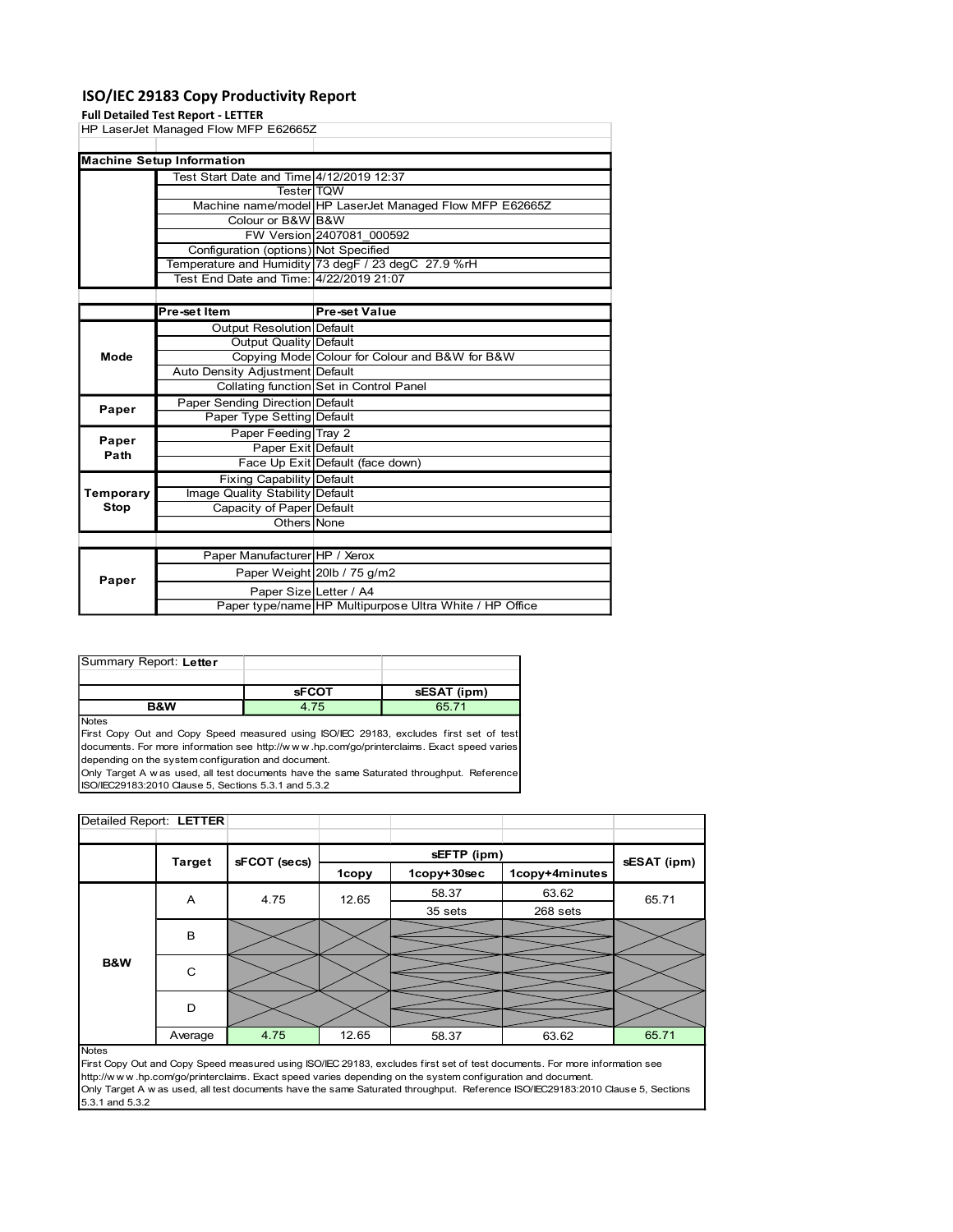## ISO/IEC 29183 Copy Productivity Report

#### Full Detailed Test Report - LETTER

|                                  | <b>Full Detailed Test Report - LETTER</b> | HP LaserJet Managed Flow MFP E62665Z                                       |                                                |                                                                                                                                                                                      |  |             |
|----------------------------------|-------------------------------------------|----------------------------------------------------------------------------|------------------------------------------------|--------------------------------------------------------------------------------------------------------------------------------------------------------------------------------------|--|-------------|
| <b>Machine Setup Information</b> |                                           |                                                                            |                                                |                                                                                                                                                                                      |  |             |
|                                  |                                           | Test Start Date and Time 4/12/2019 12:37                                   |                                                |                                                                                                                                                                                      |  |             |
|                                  |                                           | Tester TQW                                                                 |                                                |                                                                                                                                                                                      |  |             |
|                                  |                                           | Colour or B&W B&W                                                          |                                                | Machine name/model HP LaserJet Managed Flow MFP E62665Z                                                                                                                              |  |             |
|                                  |                                           |                                                                            | FW Version 2407081_000592                      |                                                                                                                                                                                      |  |             |
|                                  |                                           | Configuration (options) Not Specified                                      |                                                |                                                                                                                                                                                      |  |             |
|                                  |                                           |                                                                            |                                                | Temperature and Humidity 73 degF / 23 degC 27.9 %rH                                                                                                                                  |  |             |
|                                  |                                           | Test End Date and Time: 4/22/2019 21:07                                    |                                                |                                                                                                                                                                                      |  |             |
|                                  | Pre-set Item                              |                                                                            | <b>Pre-set Value</b>                           |                                                                                                                                                                                      |  |             |
|                                  |                                           | <b>Output Resolution Default</b>                                           |                                                |                                                                                                                                                                                      |  |             |
|                                  |                                           | <b>Output Quality Default</b>                                              |                                                |                                                                                                                                                                                      |  |             |
| Mode                             |                                           |                                                                            | Copying Mode Colour for Colour and B&W for B&W |                                                                                                                                                                                      |  |             |
|                                  |                                           | Auto Density Adjustment Default                                            |                                                |                                                                                                                                                                                      |  |             |
|                                  |                                           | Collating function Set in Control Panel<br>Paper Sending Direction Default |                                                |                                                                                                                                                                                      |  |             |
| Paper                            |                                           | Paper Type Setting Default                                                 |                                                |                                                                                                                                                                                      |  |             |
|                                  |                                           | Paper Feeding Tray 2                                                       |                                                |                                                                                                                                                                                      |  |             |
| Paper<br>Path                    |                                           | Paper Exit Default                                                         |                                                |                                                                                                                                                                                      |  |             |
|                                  |                                           | Face Up Exit Default (face down)                                           |                                                |                                                                                                                                                                                      |  |             |
| Temporary                        |                                           | <b>Fixing Capability Default</b><br>Image Quality Stability Default        |                                                |                                                                                                                                                                                      |  |             |
| <b>Stop</b>                      |                                           | Capacity of Paper Default                                                  |                                                |                                                                                                                                                                                      |  |             |
|                                  | Others None                               |                                                                            |                                                |                                                                                                                                                                                      |  |             |
|                                  |                                           |                                                                            |                                                |                                                                                                                                                                                      |  |             |
|                                  |                                           | Paper Manufacturer HP / Xerox                                              |                                                |                                                                                                                                                                                      |  |             |
| Paper                            |                                           | Paper Weight 20lb / 75 g/m2                                                |                                                |                                                                                                                                                                                      |  |             |
|                                  |                                           | Paper Size Letter / A4                                                     |                                                |                                                                                                                                                                                      |  |             |
|                                  |                                           |                                                                            |                                                | Paper type/name HP Multipurpose Ultra White / HP Office                                                                                                                              |  |             |
|                                  |                                           |                                                                            |                                                |                                                                                                                                                                                      |  |             |
|                                  |                                           |                                                                            |                                                |                                                                                                                                                                                      |  |             |
| Summary Report: Letter           |                                           |                                                                            |                                                |                                                                                                                                                                                      |  |             |
|                                  |                                           |                                                                            |                                                |                                                                                                                                                                                      |  |             |
|                                  | <b>B&amp;W</b>                            | 4.75                                                                       | <b>sFCOT</b>                                   | sESAT (ipm)<br>65.71                                                                                                                                                                 |  |             |
| Notes                            |                                           | depending on the system configuration and document.                        |                                                | First Copy Out and Copy Speed measured using ISO/IEC 29183, excludes first set of test<br>documents. For more information see http://www.hp.com/go/printerclaims. Exact speed varies |  |             |
|                                  |                                           | ISO/IEC29183:2010 Clause 5, Sections 5.3.1 and 5.3.2                       |                                                | Only Target A w as used, all test documents have the same Saturated throughput. Reference                                                                                            |  |             |
| Detailed Report: LETTER          |                                           |                                                                            |                                                |                                                                                                                                                                                      |  |             |
|                                  |                                           |                                                                            |                                                |                                                                                                                                                                                      |  |             |
|                                  |                                           |                                                                            |                                                |                                                                                                                                                                                      |  |             |
|                                  | <b>Target</b>                             | sFCOT (secs)                                                               |                                                | sEFTP (ipm)                                                                                                                                                                          |  | sESAT (ipm) |

| Summary Report: Letter |              |             |
|------------------------|--------------|-------------|
|                        |              |             |
|                        | <b>SFCOT</b> | sESAT (ipm) |
| <b>B&amp;W</b>         | 4.75         | 65 71       |

| Path                                                                                      |               | Face Up Exit Default (face down)                     |       |                                                                                                            |                                                                                                                                |             |
|-------------------------------------------------------------------------------------------|---------------|------------------------------------------------------|-------|------------------------------------------------------------------------------------------------------------|--------------------------------------------------------------------------------------------------------------------------------|-------------|
|                                                                                           |               |                                                      |       |                                                                                                            |                                                                                                                                |             |
|                                                                                           |               | <b>Fixing Capability Default</b>                     |       |                                                                                                            |                                                                                                                                |             |
| Temporary                                                                                 |               | Image Quality Stability Default                      |       |                                                                                                            |                                                                                                                                |             |
| <b>Stop</b>                                                                               |               | Capacity of Paper Default                            |       |                                                                                                            |                                                                                                                                |             |
|                                                                                           |               | Others None                                          |       |                                                                                                            |                                                                                                                                |             |
|                                                                                           |               |                                                      |       |                                                                                                            |                                                                                                                                |             |
|                                                                                           |               | Paper Manufacturer HP / Xerox                        |       |                                                                                                            |                                                                                                                                |             |
| Paper                                                                                     |               | Paper Weight 20lb / 75 g/m2                          |       |                                                                                                            |                                                                                                                                |             |
|                                                                                           |               | Paper Size Letter / A4                               |       |                                                                                                            |                                                                                                                                |             |
|                                                                                           |               |                                                      |       | Paper type/name HP Multipurpose Ultra White / HP Office                                                    |                                                                                                                                |             |
|                                                                                           |               |                                                      |       |                                                                                                            |                                                                                                                                |             |
|                                                                                           |               |                                                      |       |                                                                                                            |                                                                                                                                |             |
|                                                                                           |               |                                                      |       |                                                                                                            |                                                                                                                                |             |
| Summary Report: Letter                                                                    |               |                                                      |       |                                                                                                            |                                                                                                                                |             |
|                                                                                           |               | <b>sFCOT</b>                                         |       | sESAT (ipm)                                                                                                |                                                                                                                                |             |
|                                                                                           | B&W           | 4.75                                                 |       | 65.71                                                                                                      |                                                                                                                                |             |
| Notes                                                                                     |               |                                                      |       |                                                                                                            |                                                                                                                                |             |
|                                                                                           |               |                                                      |       | First Copy Out and Copy Speed measured using ISO/IEC 29183, excludes first set of test                     |                                                                                                                                |             |
|                                                                                           |               |                                                      |       | documents. For more information see http://www.hp.com/go/printerclaims. Exact speed varies                 |                                                                                                                                |             |
|                                                                                           |               | depending on the system configuration and document.  |       |                                                                                                            |                                                                                                                                |             |
|                                                                                           |               |                                                      |       |                                                                                                            |                                                                                                                                |             |
| Only Target A w as used, all test documents have the same Saturated throughput. Reference |               |                                                      |       |                                                                                                            |                                                                                                                                |             |
|                                                                                           |               | ISO/IEC29183:2010 Clause 5, Sections 5.3.1 and 5.3.2 |       |                                                                                                            |                                                                                                                                |             |
|                                                                                           |               |                                                      |       |                                                                                                            |                                                                                                                                |             |
| Detailed Report: LETTER                                                                   |               |                                                      |       |                                                                                                            |                                                                                                                                |             |
|                                                                                           |               |                                                      |       |                                                                                                            |                                                                                                                                |             |
|                                                                                           |               |                                                      |       |                                                                                                            |                                                                                                                                |             |
|                                                                                           | <b>Target</b> | sFCOT (secs)                                         |       | sEFTP (ipm)<br>1copy+30sec                                                                                 | 1copy+4minutes                                                                                                                 | sESAT (ipm) |
|                                                                                           |               |                                                      | 1copy |                                                                                                            |                                                                                                                                |             |
|                                                                                           | A             | 4.75                                                 | 12.65 | 58.37                                                                                                      | 63.62                                                                                                                          | 65.71       |
|                                                                                           |               |                                                      |       | 35 sets                                                                                                    | 268 sets                                                                                                                       |             |
|                                                                                           | В             |                                                      |       |                                                                                                            |                                                                                                                                |             |
|                                                                                           |               |                                                      |       |                                                                                                            |                                                                                                                                |             |
| B&W                                                                                       |               |                                                      |       |                                                                                                            |                                                                                                                                |             |
|                                                                                           | C             |                                                      |       |                                                                                                            |                                                                                                                                |             |
|                                                                                           |               |                                                      |       |                                                                                                            |                                                                                                                                |             |
|                                                                                           | D             |                                                      |       |                                                                                                            |                                                                                                                                |             |
|                                                                                           |               |                                                      |       |                                                                                                            |                                                                                                                                |             |
|                                                                                           | Average       | 4.75                                                 | 12.65 | 58.37                                                                                                      | 63.62                                                                                                                          | 65.71       |
| <b>Notes</b>                                                                              |               |                                                      |       |                                                                                                            |                                                                                                                                |             |
|                                                                                           |               |                                                      |       |                                                                                                            | First Copy Out and Copy Speed measured using ISO/IEC 29183, excludes first set of test documents. For more information see     |             |
|                                                                                           |               |                                                      |       | http://www.hp.com/go/printerclaims. Exact speed varies depending on the system configuration and document. |                                                                                                                                |             |
|                                                                                           |               |                                                      |       |                                                                                                            | Only Target A w as used, all test documents have the same Saturated throughput. Reference ISO/IEC29183:2010 Clause 5, Sections |             |
| 5.3.1 and 5.3.2                                                                           |               |                                                      |       |                                                                                                            |                                                                                                                                |             |
|                                                                                           |               |                                                      |       |                                                                                                            |                                                                                                                                |             |
|                                                                                           |               |                                                      |       |                                                                                                            |                                                                                                                                |             |
|                                                                                           |               |                                                      |       |                                                                                                            |                                                                                                                                |             |
|                                                                                           |               |                                                      |       |                                                                                                            |                                                                                                                                |             |
|                                                                                           |               |                                                      |       |                                                                                                            |                                                                                                                                |             |

Notes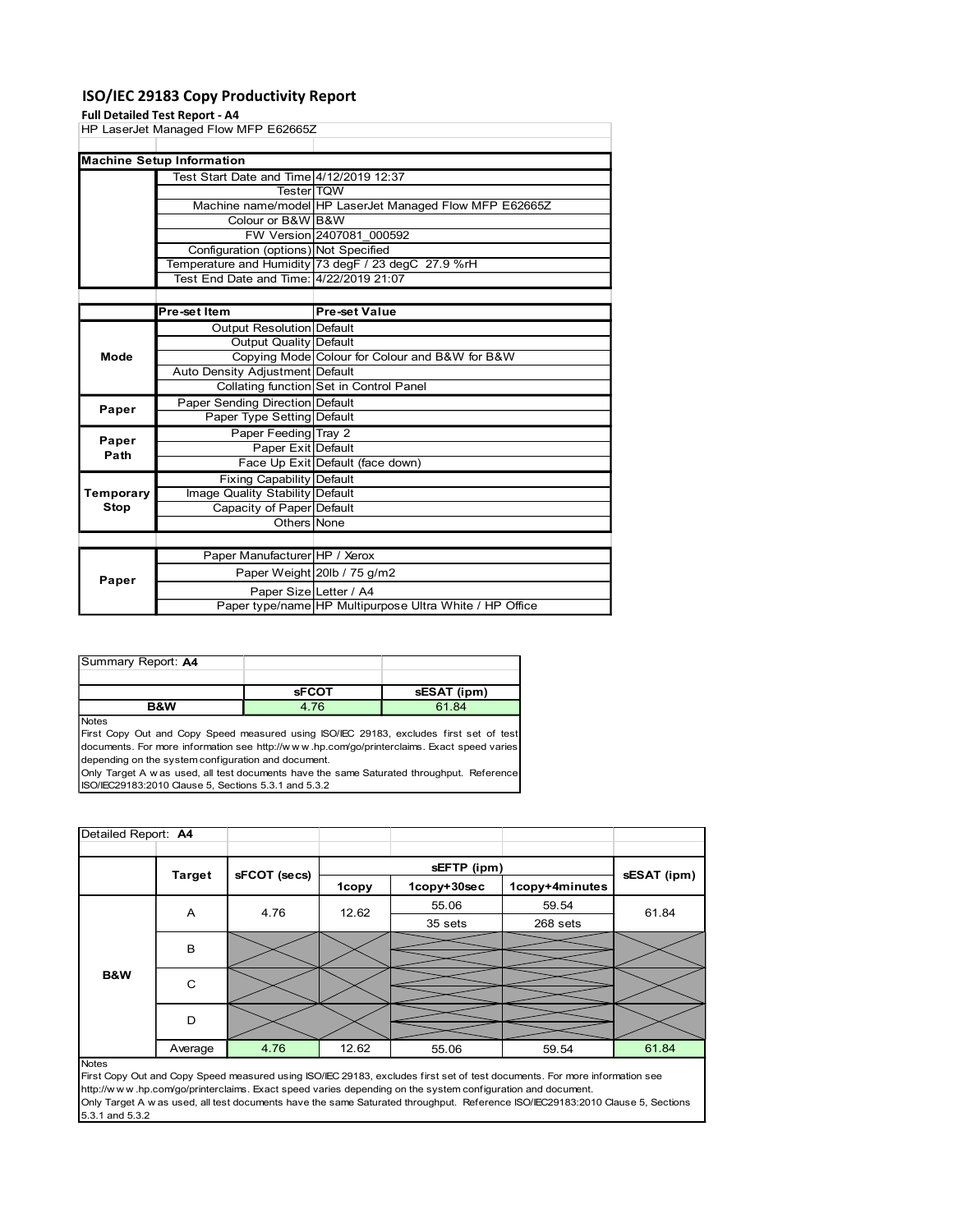## ISO/IEC 29183 Copy Productivity Report

### Full Detailed Test Report - A4

| <b>Pre-set Value</b><br>Pre-set Item<br><b>Output Resolution Default</b><br><b>Output Quality Default</b><br>Copying Mode Colour for Colour and B&W for B&W<br>Mode<br>Auto Density Adjustment Default<br>Collating function Set in Control Panel<br>Paper Sending Direction Default<br>Paper<br>Paper Type Setting Default<br>Paper Feeding Tray 2<br>Paper<br>Paper Exit Default<br>Path<br>Face Up Exit Default (face down)<br><b>Fixing Capability Default</b><br>Temporary<br>Image Quality Stability Default<br><b>Stop</b><br>Capacity of Paper Default<br>Others None<br>Paper Manufacturer HP / Xerox<br>Paper Weight 20lb / 75 g/m2<br>Paper<br>Paper Size Letter / A4<br>Paper type/name HP Multipurpose Ultra White / HP Office |              |  | Configuration (options) Not Specified<br>Test End Date and Time: 4/22/2019 21:07 |  | Temperature and Humidity 73 degF / 23 degC 27.9 %rH |  |  |
|---------------------------------------------------------------------------------------------------------------------------------------------------------------------------------------------------------------------------------------------------------------------------------------------------------------------------------------------------------------------------------------------------------------------------------------------------------------------------------------------------------------------------------------------------------------------------------------------------------------------------------------------------------------------------------------------------------------------------------------------|--------------|--|----------------------------------------------------------------------------------|--|-----------------------------------------------------|--|--|
|                                                                                                                                                                                                                                                                                                                                                                                                                                                                                                                                                                                                                                                                                                                                             |              |  |                                                                                  |  |                                                     |  |  |
|                                                                                                                                                                                                                                                                                                                                                                                                                                                                                                                                                                                                                                                                                                                                             |              |  |                                                                                  |  |                                                     |  |  |
|                                                                                                                                                                                                                                                                                                                                                                                                                                                                                                                                                                                                                                                                                                                                             |              |  |                                                                                  |  |                                                     |  |  |
|                                                                                                                                                                                                                                                                                                                                                                                                                                                                                                                                                                                                                                                                                                                                             |              |  |                                                                                  |  |                                                     |  |  |
|                                                                                                                                                                                                                                                                                                                                                                                                                                                                                                                                                                                                                                                                                                                                             |              |  |                                                                                  |  |                                                     |  |  |
|                                                                                                                                                                                                                                                                                                                                                                                                                                                                                                                                                                                                                                                                                                                                             |              |  |                                                                                  |  |                                                     |  |  |
|                                                                                                                                                                                                                                                                                                                                                                                                                                                                                                                                                                                                                                                                                                                                             |              |  |                                                                                  |  |                                                     |  |  |
|                                                                                                                                                                                                                                                                                                                                                                                                                                                                                                                                                                                                                                                                                                                                             |              |  |                                                                                  |  |                                                     |  |  |
|                                                                                                                                                                                                                                                                                                                                                                                                                                                                                                                                                                                                                                                                                                                                             |              |  |                                                                                  |  |                                                     |  |  |
|                                                                                                                                                                                                                                                                                                                                                                                                                                                                                                                                                                                                                                                                                                                                             |              |  |                                                                                  |  |                                                     |  |  |
|                                                                                                                                                                                                                                                                                                                                                                                                                                                                                                                                                                                                                                                                                                                                             |              |  |                                                                                  |  |                                                     |  |  |
|                                                                                                                                                                                                                                                                                                                                                                                                                                                                                                                                                                                                                                                                                                                                             |              |  |                                                                                  |  |                                                     |  |  |
|                                                                                                                                                                                                                                                                                                                                                                                                                                                                                                                                                                                                                                                                                                                                             |              |  |                                                                                  |  |                                                     |  |  |
|                                                                                                                                                                                                                                                                                                                                                                                                                                                                                                                                                                                                                                                                                                                                             |              |  |                                                                                  |  |                                                     |  |  |
|                                                                                                                                                                                                                                                                                                                                                                                                                                                                                                                                                                                                                                                                                                                                             |              |  |                                                                                  |  |                                                     |  |  |
|                                                                                                                                                                                                                                                                                                                                                                                                                                                                                                                                                                                                                                                                                                                                             |              |  |                                                                                  |  |                                                     |  |  |
|                                                                                                                                                                                                                                                                                                                                                                                                                                                                                                                                                                                                                                                                                                                                             |              |  |                                                                                  |  |                                                     |  |  |
|                                                                                                                                                                                                                                                                                                                                                                                                                                                                                                                                                                                                                                                                                                                                             |              |  |                                                                                  |  |                                                     |  |  |
|                                                                                                                                                                                                                                                                                                                                                                                                                                                                                                                                                                                                                                                                                                                                             |              |  |                                                                                  |  |                                                     |  |  |
| Summary Report: A4                                                                                                                                                                                                                                                                                                                                                                                                                                                                                                                                                                                                                                                                                                                          |              |  |                                                                                  |  | 61.84                                               |  |  |
| <b>sFCOT</b><br>sESAT (ipm)                                                                                                                                                                                                                                                                                                                                                                                                                                                                                                                                                                                                                                                                                                                 | <b>Notes</b> |  |                                                                                  |  |                                                     |  |  |
| 4.76<br><b>B&amp;W</b>                                                                                                                                                                                                                                                                                                                                                                                                                                                                                                                                                                                                                                                                                                                      |              |  |                                                                                  |  |                                                     |  |  |
| First Copy Out and Copy Speed measured using ISO/IEC 29183, excludes first set of test                                                                                                                                                                                                                                                                                                                                                                                                                                                                                                                                                                                                                                                      |              |  |                                                                                  |  |                                                     |  |  |
| documents. For more information see http://www.hp.com/go/printerclaims. Exact speed varies                                                                                                                                                                                                                                                                                                                                                                                                                                                                                                                                                                                                                                                  |              |  |                                                                                  |  |                                                     |  |  |
| depending on the system configuration and document.                                                                                                                                                                                                                                                                                                                                                                                                                                                                                                                                                                                                                                                                                         |              |  |                                                                                  |  |                                                     |  |  |
|                                                                                                                                                                                                                                                                                                                                                                                                                                                                                                                                                                                                                                                                                                                                             |              |  |                                                                                  |  |                                                     |  |  |
|                                                                                                                                                                                                                                                                                                                                                                                                                                                                                                                                                                                                                                                                                                                                             |              |  |                                                                                  |  |                                                     |  |  |
|                                                                                                                                                                                                                                                                                                                                                                                                                                                                                                                                                                                                                                                                                                                                             |              |  |                                                                                  |  |                                                     |  |  |
|                                                                                                                                                                                                                                                                                                                                                                                                                                                                                                                                                                                                                                                                                                                                             |              |  |                                                                                  |  |                                                     |  |  |
| Only Target A w as used, all test documents have the same Saturated throughput. Reference<br>ISO/IEC29183:2010 Clause 5, Sections 5.3.1 and 5.3.2                                                                                                                                                                                                                                                                                                                                                                                                                                                                                                                                                                                           |              |  |                                                                                  |  |                                                     |  |  |
|                                                                                                                                                                                                                                                                                                                                                                                                                                                                                                                                                                                                                                                                                                                                             |              |  |                                                                                  |  |                                                     |  |  |
| Detailed Report: A4<br>sEFTP (ipm)                                                                                                                                                                                                                                                                                                                                                                                                                                                                                                                                                                                                                                                                                                          |              |  |                                                                                  |  |                                                     |  |  |

| Summary Report: A4 |              |             |
|--------------------|--------------|-------------|
|                    |              |             |
|                    | <b>sFCOT</b> | sESAT (ipm) |
| <b>B&amp;W</b>     | 4.76         | 61.84       |

|                     |                                                                                   | <b>Fixing Capability Default</b>                     |       |                                                                                                            |                                                                                                                                |             |
|---------------------|-----------------------------------------------------------------------------------|------------------------------------------------------|-------|------------------------------------------------------------------------------------------------------------|--------------------------------------------------------------------------------------------------------------------------------|-------------|
| Temporary           |                                                                                   | Image Quality Stability Default                      |       |                                                                                                            |                                                                                                                                |             |
| <b>Stop</b>         |                                                                                   | Capacity of Paper Default                            |       |                                                                                                            |                                                                                                                                |             |
|                     |                                                                                   | Others None                                          |       |                                                                                                            |                                                                                                                                |             |
|                     |                                                                                   |                                                      |       |                                                                                                            |                                                                                                                                |             |
|                     |                                                                                   | Paper Manufacturer HP / Xerox                        |       |                                                                                                            |                                                                                                                                |             |
| Paper               |                                                                                   | Paper Weight 20lb / 75 g/m2                          |       |                                                                                                            |                                                                                                                                |             |
|                     | Paper Size Letter / A4<br>Paper type/name HP Multipurpose Ultra White / HP Office |                                                      |       |                                                                                                            |                                                                                                                                |             |
|                     |                                                                                   |                                                      |       |                                                                                                            |                                                                                                                                |             |
|                     |                                                                                   |                                                      |       |                                                                                                            |                                                                                                                                |             |
|                     |                                                                                   |                                                      |       |                                                                                                            |                                                                                                                                |             |
| Summary Report: A4  |                                                                                   |                                                      |       |                                                                                                            |                                                                                                                                |             |
|                     |                                                                                   | <b>SFCOT</b>                                         |       | sESAT (ipm)                                                                                                |                                                                                                                                |             |
|                     | <b>B&amp;W</b>                                                                    | 4.76                                                 |       | 61.84                                                                                                      |                                                                                                                                |             |
| <b>Notes</b>        |                                                                                   |                                                      |       |                                                                                                            |                                                                                                                                |             |
|                     |                                                                                   |                                                      |       | First Copy Out and Copy Speed measured using ISO/IEC 29183, excludes first set of test                     |                                                                                                                                |             |
|                     |                                                                                   | depending on the system configuration and document.  |       | documents. For more information see http://www.hp.com/go/printerclaims. Exact speed varies                 |                                                                                                                                |             |
|                     |                                                                                   |                                                      |       | Only Target A w as used, all test documents have the same Saturated throughput. Reference                  |                                                                                                                                |             |
|                     |                                                                                   | ISO/IEC29183:2010 Clause 5, Sections 5.3.1 and 5.3.2 |       |                                                                                                            |                                                                                                                                |             |
|                     |                                                                                   |                                                      |       |                                                                                                            |                                                                                                                                |             |
|                     |                                                                                   |                                                      |       |                                                                                                            |                                                                                                                                |             |
|                     |                                                                                   |                                                      |       |                                                                                                            |                                                                                                                                |             |
| Detailed Report: A4 |                                                                                   |                                                      |       |                                                                                                            |                                                                                                                                |             |
|                     |                                                                                   |                                                      |       |                                                                                                            |                                                                                                                                |             |
|                     | <b>Target</b>                                                                     | sFCOT (secs)                                         |       | sEFTP (ipm)                                                                                                |                                                                                                                                | sESAT (ipm) |
|                     |                                                                                   |                                                      | 1copy | 1copy+30sec                                                                                                | 1copy+4minutes                                                                                                                 |             |
|                     | Α                                                                                 | 4.76                                                 | 12.62 | 55.06                                                                                                      | 59.54                                                                                                                          | 61.84       |
|                     |                                                                                   |                                                      |       | 35 sets                                                                                                    | 268 sets                                                                                                                       |             |
|                     |                                                                                   |                                                      |       |                                                                                                            |                                                                                                                                |             |
|                     | В                                                                                 |                                                      |       |                                                                                                            |                                                                                                                                |             |
| B&W                 |                                                                                   |                                                      |       |                                                                                                            |                                                                                                                                |             |
|                     | $\mathbf C$                                                                       |                                                      |       |                                                                                                            |                                                                                                                                |             |
|                     |                                                                                   |                                                      |       |                                                                                                            |                                                                                                                                |             |
|                     | D                                                                                 |                                                      |       |                                                                                                            |                                                                                                                                |             |
|                     |                                                                                   | 4.76                                                 | 12.62 | 55.06                                                                                                      |                                                                                                                                | 61.84       |
| <b>Notes</b>        | Average                                                                           |                                                      |       |                                                                                                            | 59.54                                                                                                                          |             |
|                     |                                                                                   |                                                      |       |                                                                                                            | First Copy Out and Copy Speed measured using ISO/IEC 29183, excludes first set of test documents. For more information see     |             |
|                     |                                                                                   |                                                      |       | http://www.hp.com/go/printerclaims. Exact speed varies depending on the system configuration and document. |                                                                                                                                |             |
|                     |                                                                                   |                                                      |       |                                                                                                            | Only Target A w as used, all test documents have the same Saturated throughput. Reference ISO/IEC29183:2010 Clause 5, Sections |             |
| 5.3.1 and 5.3.2     |                                                                                   |                                                      |       |                                                                                                            |                                                                                                                                |             |
|                     |                                                                                   |                                                      |       |                                                                                                            |                                                                                                                                |             |
|                     |                                                                                   |                                                      |       |                                                                                                            |                                                                                                                                |             |
|                     |                                                                                   |                                                      |       |                                                                                                            |                                                                                                                                |             |
|                     |                                                                                   |                                                      |       |                                                                                                            |                                                                                                                                |             |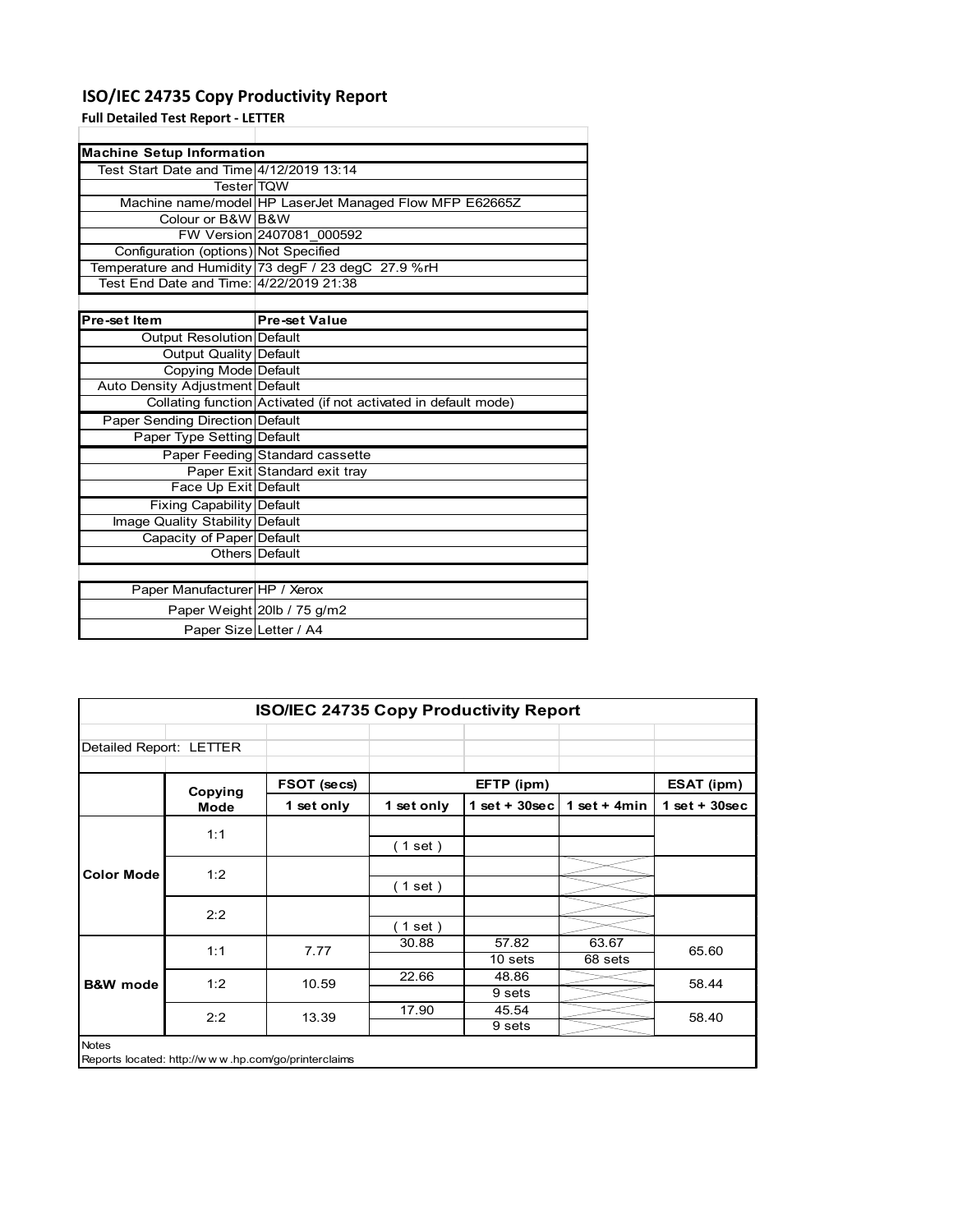# **ISO/IEC 24735 Copy Productivity Report**

**Full Detailed Test Report ‐ LETTER**

| <b>Machine Setup Information</b>         |                                                                 |
|------------------------------------------|-----------------------------------------------------------------|
| Test Start Date and Time 4/12/2019 13:14 |                                                                 |
| <b>TesterITQW</b>                        |                                                                 |
|                                          | Machine name/model HP LaserJet Managed Flow MFP E62665Z         |
| Colour or B&W B&W                        |                                                                 |
|                                          | FW Version 2407081 000592                                       |
| Configuration (options) Not Specified    |                                                                 |
|                                          | Temperature and Humidity 73 degF / 23 degC 27.9 %rH             |
| Test End Date and Time: 4/22/2019 21:38  |                                                                 |
|                                          |                                                                 |
| Pre-set Item                             | Pre-set Value                                                   |
| <b>Output Resolution Default</b>         |                                                                 |
| Output Quality Default                   |                                                                 |
| Copying Mode Default                     |                                                                 |
| Auto Density Adjustment Default          |                                                                 |
|                                          | Collating function Activated (if not activated in default mode) |
| Paper Sending Direction Default          |                                                                 |
| Paper Type Setting Default               |                                                                 |
|                                          | Paper Feeding Standard cassette                                 |
|                                          | Paper Exit Standard exit tray                                   |
| Face Up Exit Default                     |                                                                 |
| <b>Fixing Capability Default</b>         |                                                                 |
| Image Quality Stability Default          |                                                                 |
| Capacity of Paper Default                |                                                                 |
|                                          | Others Default                                                  |
|                                          |                                                                 |
| Paper Manufacturer HP / Xerox            |                                                                 |
|                                          | Paper Weight 20lb / 75 g/m2                                     |
| Paper Size Letter / A4                   |                                                                 |

| <b>ISO/IEC 24735 Copy Productivity Report</b> |         |                                                     |            |                  |                  |                 |
|-----------------------------------------------|---------|-----------------------------------------------------|------------|------------------|------------------|-----------------|
| Detailed Report: LETTER                       |         |                                                     |            |                  |                  |                 |
|                                               | Copying | FSOT (secs)                                         |            | EFTP (ipm)       |                  | ESAT (ipm)      |
|                                               | Mode    | 1 set only                                          | 1 set only | 1 set + $30$ sec | 1 set + $4min$   | $1$ set + 30sec |
| <b>Color Mode</b>                             | 1:1     |                                                     | (1 set)    |                  |                  |                 |
|                                               | 1:2     |                                                     | (1 set )   |                  |                  |                 |
|                                               | 2:2     |                                                     | (1 set )   |                  |                  |                 |
|                                               | 1:1     | 7.77                                                | 30.88      | 57.82<br>10 sets | 63.67<br>68 sets | 65.60           |
| <b>B&amp;W</b> mode                           | 1:2     | 10.59                                               | 22.66      | 48.86<br>9 sets  |                  | 58.44           |
|                                               | 2:2     | 13.39                                               | 17.90      | 45.54<br>9 sets  |                  | 58.40           |
| <b>Notes</b>                                  |         | Reports located: http://www.hp.com/go/printerclaims |            |                  |                  |                 |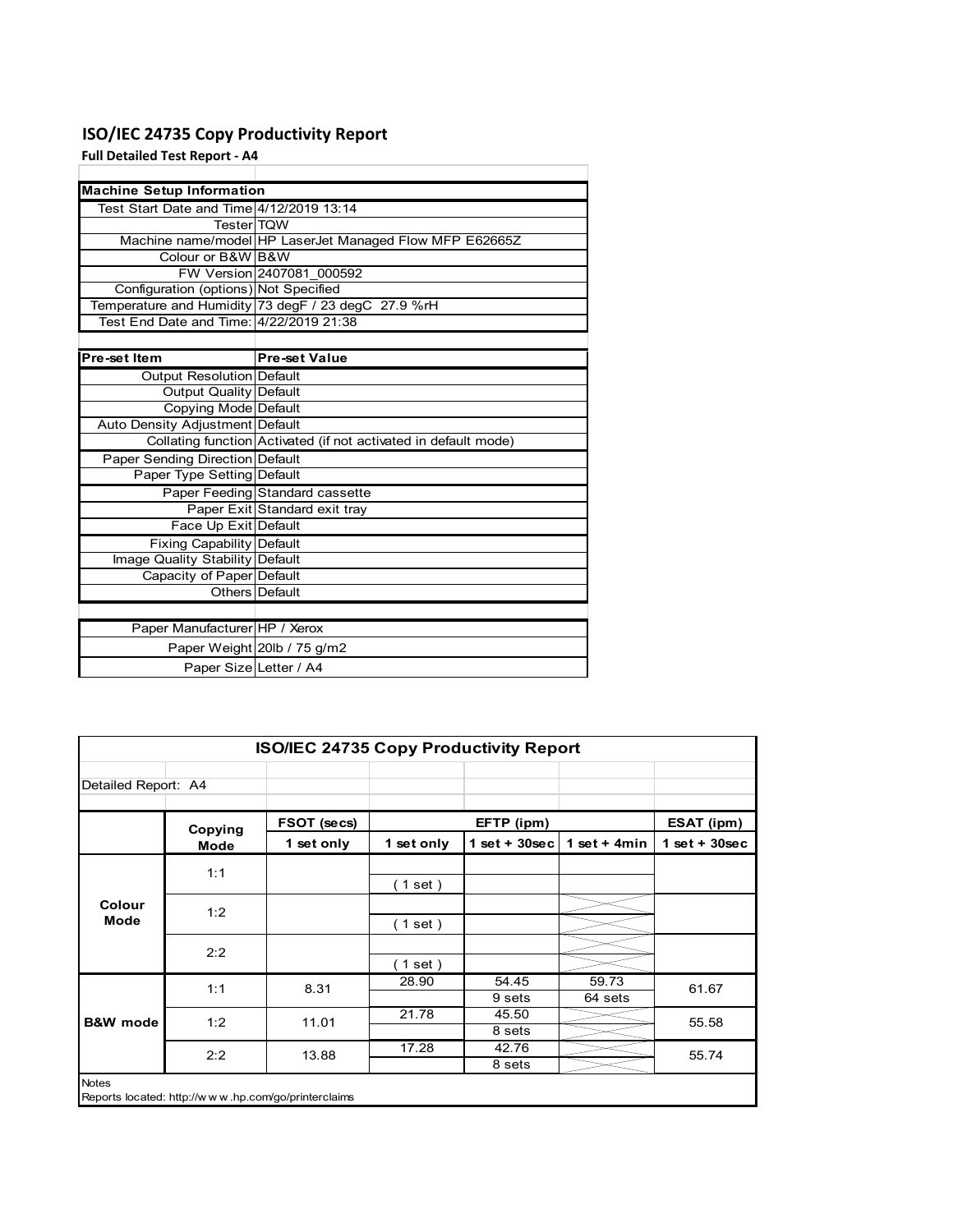## **ISO/IEC 24735 Copy Productivity Report**

**Full Detailed Test Report ‐ A4**

| <b>Machine Setup Information</b>         |                                                                 |
|------------------------------------------|-----------------------------------------------------------------|
| Test Start Date and Time 4/12/2019 13:14 |                                                                 |
| <b>TesterITQW</b>                        |                                                                 |
|                                          | Machine name/model HP LaserJet Managed Flow MFP E62665Z         |
| Colour or B&W B&W                        |                                                                 |
|                                          | FW Version 2407081 000592                                       |
| Configuration (options) Not Specified    |                                                                 |
|                                          | Temperature and Humidity 73 degF / 23 degC 27.9 %rH             |
| Test End Date and Time: 4/22/2019 21:38  |                                                                 |
|                                          |                                                                 |
| Pre-set Item                             | <b>Pre-set Value</b>                                            |
| Output Resolution Default                |                                                                 |
| <b>Output Quality Default</b>            |                                                                 |
| Copying Mode Default                     |                                                                 |
| Auto Density Adjustment Default          |                                                                 |
|                                          | Collating function Activated (if not activated in default mode) |
| Paper Sending Direction Default          |                                                                 |
| Paper Type Setting Default               |                                                                 |
|                                          | Paper Feeding Standard cassette                                 |
|                                          | Paper Exit Standard exit tray                                   |
| Face Up Exit Default                     |                                                                 |
| <b>Fixing Capability Default</b>         |                                                                 |
| Image Quality Stability Default          |                                                                 |
| Capacity of Paper Default                |                                                                 |
|                                          | Others Default                                                  |
|                                          |                                                                 |
| Paper Manufacturer HP / Xerox            |                                                                 |
|                                          | Paper Weight 20lb / 75 g/m2                                     |
| Paper Size Letter / A4                   |                                                                 |

| <b>ISO/IEC 24735 Copy Productivity Report</b> |                 |                                                     |            |                  |                  |                   |
|-----------------------------------------------|-----------------|-----------------------------------------------------|------------|------------------|------------------|-------------------|
| Detailed Report: A4                           |                 |                                                     |            |                  |                  |                   |
|                                               | Copying<br>Mode | FSOT (secs)                                         |            | EFTP (ipm)       |                  | <b>ESAT (ipm)</b> |
|                                               |                 | 1 set only                                          | 1 set only | 1 set + $30$ sec | 1 set + 4 $min$  | $1$ set + 30sec   |
|                                               | 1:1             |                                                     | (1 set)    |                  |                  |                   |
| Colour<br>Mode                                | 1:2             |                                                     | (1 set)    |                  |                  |                   |
|                                               | 2:2             |                                                     | (1 set )   |                  |                  |                   |
|                                               | 1:1             | 8.31                                                | 28.90      | 54.45<br>9 sets  | 59.73<br>64 sets | 61.67             |
| <b>B&amp;W</b> mode                           | 1:2             | 11.01                                               | 21.78      | 45.50<br>8 sets  |                  | 55.58             |
|                                               | 2:2             | 13.88                                               | 17.28      | 42.76<br>8 sets  |                  | 55.74             |
| <b>Notes</b>                                  |                 | Reports located: http://www.hp.com/go/printerclaims |            |                  |                  |                   |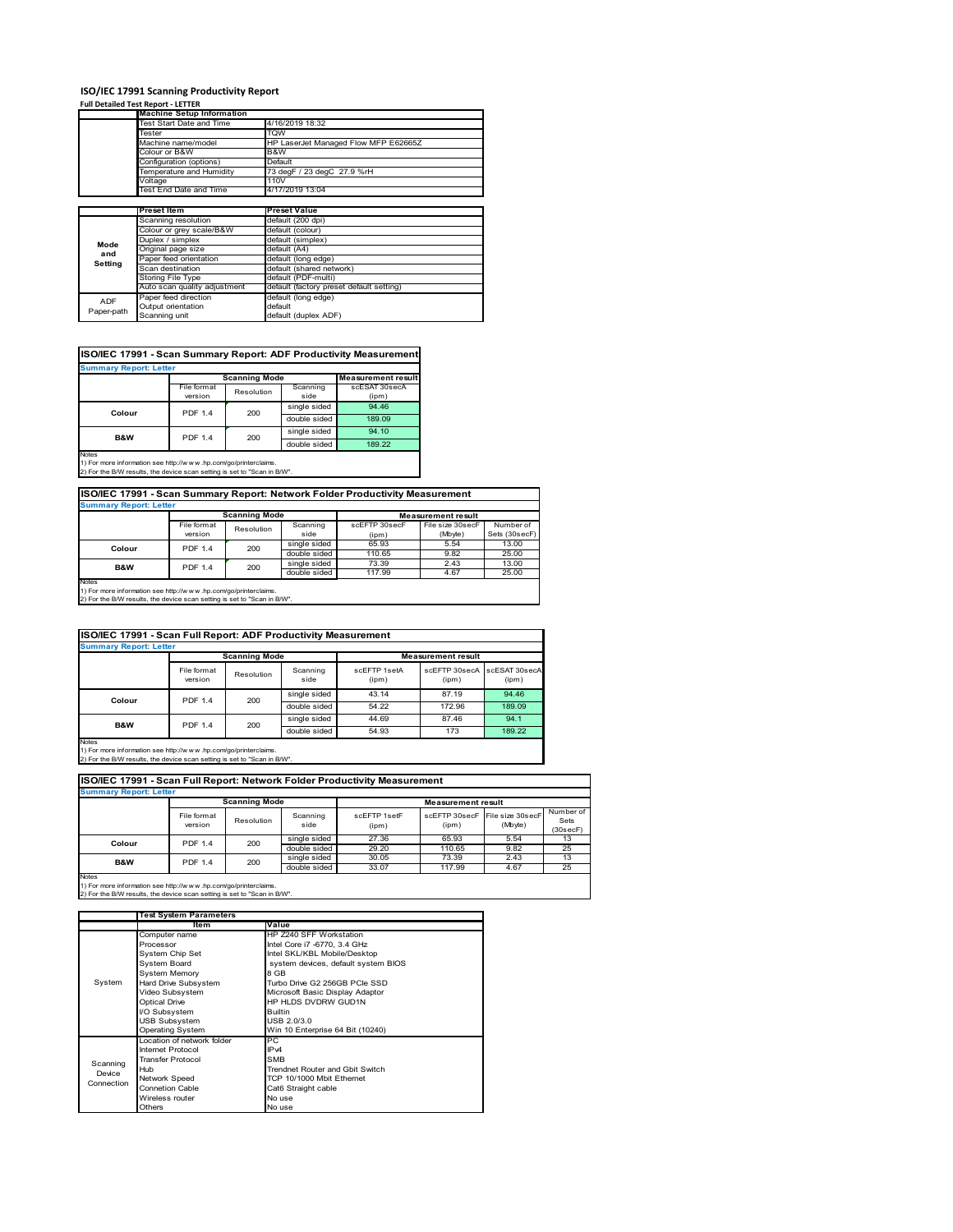#### **ISO/IEC 17991 Scanning Productivity Report**

#### **Full Detailed Test Report ‐ LETTER**

|            | <b>Machine Setup Information</b> |                                          |  |  |
|------------|----------------------------------|------------------------------------------|--|--|
|            | Test Start Date and Time         | 4/16/2019 18:32                          |  |  |
|            | Tester                           | TQW                                      |  |  |
|            | Machine name/model               | HP LaserJet Managed Flow MFP E62665Z     |  |  |
|            | Colour or B&W                    | B&W                                      |  |  |
|            | Configuration (options)          | Default                                  |  |  |
|            | Temperature and Humidity         | 73 degF / 23 degC 27.9 %rH               |  |  |
|            | Voltage                          | 110V                                     |  |  |
|            | Test End Date and Time           | 4/17/2019 13:04                          |  |  |
|            |                                  |                                          |  |  |
|            | <b>Preset Item</b>               | <b>Preset Value</b>                      |  |  |
|            | Scanning resolution              | default (200 dpi)                        |  |  |
|            | Colour or grey scale/B&W         | default (colour)                         |  |  |
| Mode       | Duplex / simplex                 | default (simplex)                        |  |  |
| and        | Original page size               | default (A4)                             |  |  |
| Setting    | Paper feed orientation           | default (long edge)                      |  |  |
|            | Scan destination                 | default (shared network)                 |  |  |
|            | Storing File Type                | default (PDF-multi)                      |  |  |
|            | Auto scan quality adjustment     | default (factory preset default setting) |  |  |
| <b>ADF</b> | Paper feed direction             | default (long edge)                      |  |  |
|            | Output orientation               | default                                  |  |  |
| Paper-path | Scanning unit                    | default (duplex ADF)                     |  |  |

| ISO/IEC 17991 - Scan Summary Report: ADF Productivity Measuremen |
|------------------------------------------------------------------|
|------------------------------------------------------------------|

| <b>Summary Report: Letter</b>                                                  |                       |                      |              |                           |  |
|--------------------------------------------------------------------------------|-----------------------|----------------------|--------------|---------------------------|--|
|                                                                                |                       | <b>Scanning Mode</b> |              | <b>Measurement result</b> |  |
|                                                                                | File format           | Resolution           | Scanning     | scESAT 30secA             |  |
|                                                                                | version               |                      | side         | (ipm)                     |  |
| Colour                                                                         | <b>PDF 1.4</b><br>200 |                      | single sided | 94.46                     |  |
|                                                                                |                       |                      | double sided | 189.09                    |  |
| <b>B&amp;W</b>                                                                 | <b>PDF 1.4</b>        | 200                  | single sided | 94.10                     |  |
|                                                                                |                       |                      | double sided | 189.22                    |  |
| <b>Notes</b><br>1) For more information can http://www.bp.com/ac/printeralaims |                       |                      |              |                           |  |

1) For more information see http://w w w .hp.com/go/printerclaims. 2) For the B/W results, the device scan setting is set to "Scan in B/W".

### **ISO/IEC 17991 - Scan Summary Report: Network Folder Productivity Measurement**

| <b>Summary Report: Letter</b> |                      |            |              |                           |                  |               |
|-------------------------------|----------------------|------------|--------------|---------------------------|------------------|---------------|
|                               | <b>Scanning Mode</b> |            |              | <b>Measurement result</b> |                  |               |
|                               | File format          | Resolution | Scanning     | scEFTP 30secF             | File size 30secF | Number of     |
|                               | version              |            | side         | (ipm)                     | (Mbyte)          | Sets (30secF) |
| Colour                        | <b>PDF 1.4</b>       | 200        | single sided | 65.93                     | 5.54             | 13.00         |
|                               |                      |            | double sided | 110.65                    | 9.82             | 25.00         |
|                               | <b>PDF 1.4</b>       | 200        | single sided | 73.39                     | 2.43             | 13.00         |
| B&W                           |                      |            | double sided | 117.99                    | 4.67             | 25.00         |
| Notes                         |                      |            |              |                           |                  |               |

Notes 1) For more information see http://w w w .hp.com/go/printerclaims. 2) For the B/W results, the device scan setting is set to "Scan in B/W".

| ISO/IEC 17991 - Scan Full Report: ADF Productivity Measurement |                        |                      |                     |                       |                           |                        |
|----------------------------------------------------------------|------------------------|----------------------|---------------------|-----------------------|---------------------------|------------------------|
| <b>Summary Report: Letter</b>                                  |                        |                      |                     |                       |                           |                        |
|                                                                |                        | <b>Scanning Mode</b> |                     |                       | <b>Measurement result</b> |                        |
|                                                                | File format<br>version | Resolution           | Scanning<br>side    | scEFTP 1setA<br>(ipm) | scEFTP 30secA<br>(ipm)    | scESAT 30secA<br>(ipm) |
| Colour                                                         | <b>PDF 1.4</b>         |                      | single sided        | 43.14                 | 87.19                     | 94.46                  |
|                                                                |                        |                      | 200<br>double sided | 54.22                 | 172.96                    | 189.09                 |
| B&W                                                            | <b>PDF 1.4</b>         | 200                  | single sided        | 44.69                 | 87.46                     | 94.1                   |
|                                                                |                        |                      | double sided        | 54.93                 | 173                       | 189.22                 |

Notes 1) For more information see http://w w w .hp.com/go/printerclaims. 2) For the B/W results, the device scan setting is set to "Scan in B/W".

| <b>Summary Report: Letter</b> |                        |                      |                              |                       |                                         |              |                               |
|-------------------------------|------------------------|----------------------|------------------------------|-----------------------|-----------------------------------------|--------------|-------------------------------|
|                               |                        | <b>Scanning Mode</b> |                              |                       | <b>Measurement result</b>               |              |                               |
|                               | File format<br>version | Resolution           | Scanning<br>side             | scFFTP 1setF<br>(ipm) | scEFTP 30secF File size 30secF<br>(ipm) | (Mbyte)      | Number of<br>Sets<br>(30secF) |
| Colour                        | <b>PDF 1.4</b>         | 200                  | single sided<br>double sided | 27.36<br>29.20        | 65.93<br>110.65                         | 5.54<br>9.82 | 13<br>25                      |
| <b>B&amp;W</b>                | <b>PDF 1.4</b>         | 200                  | single sided<br>double sided | 30.05<br>33.07        | 73.39<br>117.99                         | 2.43<br>4.67 | 13<br>25                      |

1) For more information see http://w w w .hp.com/go/printerclaims. 2) For the B/W results, the device scan setting is set to "Scan in B/W".

|            | <b>Test System Parameters</b> |                                        |  |  |
|------------|-------------------------------|----------------------------------------|--|--|
|            | Item                          | Value                                  |  |  |
|            | Computer name                 | HP Z240 SFF Workstation                |  |  |
|            | Processor                     | Intel Core i7 -6770, 3.4 GHz           |  |  |
|            | System Chip Set               | Intel SKL/KBL Mobile/Desktop           |  |  |
|            | System Board                  | system devices, default system BIOS    |  |  |
|            | <b>System Memory</b>          | 8 GB                                   |  |  |
| System     | Hard Drive Subsystem          | Turbo Drive G2 256GB PCIe SSD          |  |  |
|            | Video Subsystem               | Microsoft Basic Display Adaptor        |  |  |
|            | <b>Optical Drive</b>          | HP HLDS DVDRW GUD1N                    |  |  |
|            | I/O Subsystem                 | <b>Builtin</b>                         |  |  |
|            | USB Subsystem                 | USB 2.0/3.0                            |  |  |
|            | <b>Operating System</b>       | Win 10 Enterprise 64 Bit (10240)       |  |  |
|            | Location of network folder    | PC                                     |  |  |
|            | Internet Protocol             | IP <sub>v4</sub>                       |  |  |
| Scanning   | <b>Transfer Protocol</b>      | <b>SMB</b>                             |  |  |
| Device     | Hub                           | <b>Trendnet Router and Gbit Switch</b> |  |  |
| Connection | Network Speed                 | TCP 10/1000 Mbit Ethernet              |  |  |
|            | <b>Connetion Cable</b>        | Cat6 Straight cable                    |  |  |
|            | Wireless router               | No use                                 |  |  |
|            | Others                        | No use                                 |  |  |